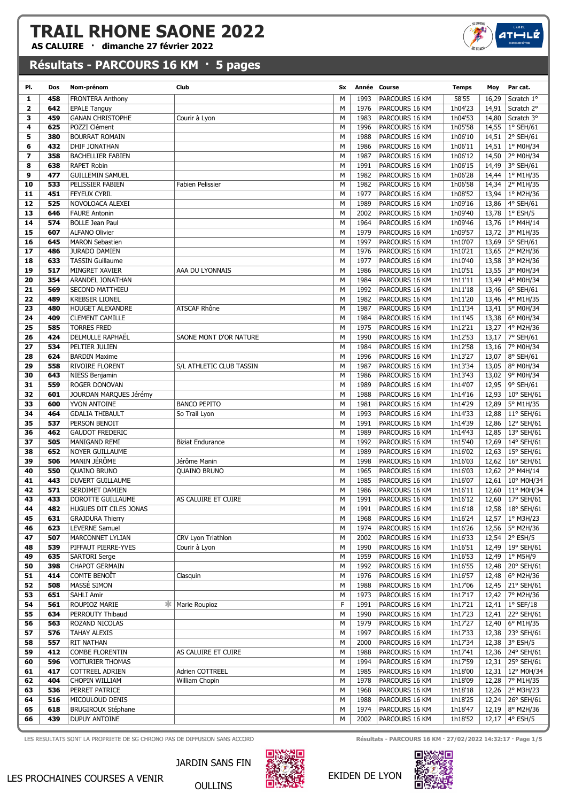AS CALUIRE · dimanche 27 février 2022

## Résultats - PARCOURS 16 KM · 5 pages

| PI.            | Dos        | Nom-prénom                                  | Club                     | Sx     |              | Année Course                     | <b>Temps</b>       | Moy   | Par cat.                                       |
|----------------|------------|---------------------------------------------|--------------------------|--------|--------------|----------------------------------|--------------------|-------|------------------------------------------------|
| 1              | 458        | <b>FRONTERA Anthony</b>                     |                          | M      | 1993         | PARCOURS 16 KM                   | 58'55              | 16,29 | Scratch 1°                                     |
| $\overline{2}$ | 642        | <b>EPALE Tanguy</b>                         |                          | M      | 1976         | PARCOURS 16 KM                   | 1h04'23            | 14,91 | Scratch 2°                                     |
| з              | 459        | <b>GANAN CHRISTOPHE</b>                     | Courir à Lyon            | M      | 1983         | PARCOURS 16 KM                   | 1h04'53            | 14,80 | Scratch 3°                                     |
| 4              | 625        | POZZI Clément                               |                          | M      | 1996         | PARCOURS 16 KM                   | 1h05'58            | 14,55 | $ 1^{\circ}$ SEH/61                            |
| 5              | 380        | <b>BOURRAT ROMAIN</b>                       |                          | M      | 1988         | PARCOURS 16 KM                   | 1h06'10            | 14,51 | 2° SEH/61                                      |
| 6              | 432        | DHIF JONATHAN                               |                          | M      | 1986         | PARCOURS 16 KM                   | 1h06'11            | 14,51 | $\mid$ 1° M0H/34                               |
| 7              | 358        | <b>BACHELLIER FABIEN</b>                    |                          | M      | 1987         | PARCOURS 16 KM                   | 1h06'12            | 14,50 | $ 2^{\circ}$ M0H/34                            |
| 8              | 638        | <b>RAPET Robin</b>                          |                          | M      | 1991         | PARCOURS 16 KM                   | 1h06'15            | 14,49 | 3° SEH/61                                      |
| 9              | 477        | <b>GUILLEMIN SAMUEL</b>                     |                          | M      | 1982         | PARCOURS 16 KM                   | 1h06'28            |       | 14,44   $1^{\circ}$ M1H/35                     |
| 10             | 533        | PELISSIER FABIEN                            | Fabien Pelissier         | M      | 1982         | PARCOURS 16 KM                   | 1h06'58            |       | 14,34 2° M1H/35                                |
| 11             | 451        | <b>FEYEUX CYRIL</b>                         |                          | M      | 1977         | PARCOURS 16 KM                   | 1h08'52            |       | 13,94   1º M2H/36                              |
| 12             | 525        | NOVOLOACA ALEXEI                            |                          | M      | 1989         | PARCOURS 16 KM                   | 1h09'16            |       | 13,86 4° SEH/61                                |
| 13             | 646        | <b>FAURE Antonin</b>                        |                          | M      | 2002         | PARCOURS 16 KM                   | 1h09'40            |       | 13,78 1° ESH/5                                 |
| 14             | 574        | <b>BOLLE Jean Paul</b>                      |                          | M      | 1964         | PARCOURS 16 KM                   | 1h09'46            | 13,76 | $\vert$ 1° M4H/14                              |
| 15             | 607        | <b>ALFANO Olivier</b>                       |                          | M      | 1979         | PARCOURS 16 KM                   | 1h09'57            |       | 13,72 3° M1H/35                                |
| 16             | 645        | <b>MARON Sebastien</b>                      |                          | M      | 1997         | PARCOURS 16 KM                   | 1h10'07            | 13,69 | $ 5^{\circ}$ SEH/61                            |
| 17             | 486        | <b>JURADO DAMIEN</b>                        |                          | M      | 1976         | PARCOURS 16 KM                   | 1h10'21            |       | 13,65 2° M2H/36                                |
| 18             | 633        | <b>TASSIN Guillaume</b>                     |                          | M      | 1977         | PARCOURS 16 KM                   | 1h10'40            | 13,58 | 3° M2H/36                                      |
| 19             | 517        | MINGRET XAVIER                              | AAA DU LYONNAIS          | M      | 1986         | PARCOURS 16 KM                   | 1h10'51            |       | 13,55 3° M0H/34                                |
| 20             | 354        | ARANDEL JONATHAN                            |                          | M      | 1984         | PARCOURS 16 KM                   | 1h11'11            | 13,49 | $ 4^{\circ}$ M0H/34                            |
| 21             | 569        | SECOND MATTHIEU                             |                          | M      | 1992         | PARCOURS 16 KM                   | 1h11'18            | 13,46 | $6°$ SEH/61                                    |
| 22             | 489        | <b>KREBSER LIONEL</b>                       |                          | M      | 1982         | PARCOURS 16 KM                   | 1h11'20            | 13,46 | $ 4^{\circ}$ M1H/35                            |
| 23             | 480        | <b>HOUGET ALEXANDRE</b>                     | ATSCAF Rhône             | M      | 1987         | PARCOURS 16 KM                   | 1h11'34            | 13,41 | 5° M0H/34                                      |
| 24             | 409        | <b>CLEMENT CAMILLE</b>                      |                          | M      | 1984         | PARCOURS 16 KM                   | 1h11'45            | 13,38 | 6° M0H/34                                      |
| 25             | 585        | <b>TORRES FRED</b>                          |                          | M      | 1975         | PARCOURS 16 KM                   | 1h12'21            | 13,27 | 4° M2H/36                                      |
| 26             | 424        | DELMULLE RAPHAËL                            | SAONE MONT D'OR NATURE   | M      | 1990         | PARCOURS 16 KM                   | 1h12'53            | 13,17 | 7° SEH/61                                      |
| 27             | 534        | PELTIER JULIEN                              |                          | M      | 1984         | PARCOURS 16 KM                   | 1h12'58            |       | 13,16 7° M0H/34                                |
| 28             | 624        | <b>BARDIN Maxime</b>                        |                          | M      | 1996         | PARCOURS 16 KM                   | 1h13'27            | 13,07 | 8° SEH/61                                      |
| 29             | 558        | <b>RIVOIRE FLORENT</b>                      | S/L ATHLETIC CLUB TASSIN | M      | 1987         | PARCOURS 16 KM                   | 1h13'34            | 13,05 | $ 8^{\circ}$ M0H/34                            |
| 30             | 643        | NIESS Benjamin                              |                          | M      | 1986         | PARCOURS 16 KM                   | 1h13'43            |       | 13,02 9° M0H/34                                |
| 31             | 559        | ROGER DONOVAN                               |                          | M      | 1989         | PARCOURS 16 KM                   | 1h14'07            | 12,95 | $ 9°$ SEH/61                                   |
| 32             | 601        | JOURDAN MARQUES Jérémy                      |                          | M      | 1988         | PARCOURS 16 KM                   | 1h14'16            | 12,93 | $10^{\circ}$ SEH/61                            |
| 33             | 600        | YVON ANTOINE                                | <b>BANCO PEPITO</b>      | M      | 1981         | PARCOURS 16 KM                   | 1h14'29            | 12,89 | $ 5^{\circ}$ M1H/35                            |
| 34             | 464        | <b>GDALIA THIBAULT</b>                      | So Trail Lyon            | M      | 1993         | PARCOURS 16 KM                   | 1h14'33            | 12,88 | $ 11^{\circ}$ SEH/61                           |
| 35             | 537        | PERSON BENOIT                               |                          | M      | 1991         | PARCOURS 16 KM                   | 1h14'39            |       | 12,86 12° SEH/61                               |
| 36             | 462        | <b>GAUDOT FREDERIC</b>                      |                          | M      | 1989         | PARCOURS 16 KM                   | 1h14'43            |       | 12,85   13° SEH/61                             |
| 37             | 505        | MANIGAND REMI                               | <b>Biziat Endurance</b>  | M      | 1992         | PARCOURS 16 KM                   | 1h15'40            |       | 12,69   $14^{\circ}$ SEH/61                    |
| 38             | 652        | <b>NOYER GUILLAUME</b>                      |                          | M      | 1989         | PARCOURS 16 KM                   | 1h16'02            | 12,63 | $15^{\circ}$ SEH/61                            |
| 39             | 506        | MANIN JÉRÔME                                | Jérôme Manin             | M      | 1998         | PARCOURS 16 KM                   | 1h16'03            |       | 12,62   $16^{\circ}$ SEH/61                    |
| 40             | 550        | <b>QUAINO BRUNO</b>                         | <b>QUAINO BRUNO</b>      | M      | 1965         | PARCOURS 16 KM                   | 1h16'03            |       | 12,62 2° M4H/14                                |
| 41             | 443        | DUVERT GUILLAUME                            |                          | M      | 1985         | PARCOURS 16 KM                   | 1h16'07            |       | 12,61   10° M0H/34                             |
| 42             | 571        | SERDIMET DAMIEN                             |                          | M      | 1986         | PARCOURS 16 KM                   | 1h16'11            |       | 12,60   11° M0H/34                             |
| 43             | 433        | DOROTTE GUILLAUME                           | AS CALUIRE ET CUIRE      | M      | 1991         | PARCOURS 16 KM                   | 1h16'12            |       | 12,60   17° SEH/61                             |
|                | 482        | HUGUES DIT CILES JONAS                      |                          | М      |              |                                  |                    |       | 12,58 18° SEH/61                               |
| 44<br>45       | 631        | <b>GRAJDURA Thierry</b>                     |                          | М      | 1991<br>1968 | PARCOURS 16 KM<br>PARCOURS 16 KM | 1h16'18            |       | 12,57   $1^{\circ}$ M3H/23                     |
| 46             | 623        | <b>LEVERNE Samuel</b>                       |                          | М      | 1974         | PARCOURS 16 KM                   | 1h16'24<br>1h16'26 |       | 12,56   5° M2H/36                              |
| 47             | 507        | MARCONNET LYLIAN                            | CRV Lyon Triathlon       | М      | 2002         | PARCOURS 16 KM                   | 1h16'33            |       | 12,54 2° ESH/5                                 |
|                |            |                                             |                          | М      | 1990         |                                  |                    |       |                                                |
| 48<br>49       | 539<br>635 | PIFFAUT PIERRE-YVES<br><b>SARTORI Serge</b> | Courir à Lyon            | М      | 1959         | PARCOURS 16 KM<br>PARCOURS 16 KM | 1h16'51            |       | 12,49 19° SEH/61<br>12,49   $1^{\circ}$ M5H/9  |
| 50             | 398        | CHAPOT GERMAIN                              |                          | М      | 1992         | PARCOURS 16 KM                   | 1h16'53<br>1h16'55 |       | 12,48 20° SEH/61                               |
|                | 414        | COMTE BENOIT                                |                          |        | 1976         | PARCOURS 16 KM                   |                    |       |                                                |
| 51             |            | MASSÉ SIMON                                 | Clasquin                 | М      |              | PARCOURS 16 KM                   | 1h16'57            |       | 12,48   $6^{\circ}$ M2H/36<br>12,45 21° SEH/61 |
| 52             | 508        |                                             |                          | М      | 1988         |                                  | 1h17'06            |       |                                                |
| 53             | 651        | SAHLI Amir                                  |                          | М<br>F | 1973         | PARCOURS 16 KM                   | 1h17'17            |       | 12,42   $7^{\circ}$ M2H/36                     |
| 54             | 561        | ROUPIOZ MARIE                               | <b>* Marie Roupioz</b>   |        | 1991         | PARCOURS 16 KM                   | 1h17'21            |       | 12,41   $1^{\circ}$ SEF/18<br>12,41 22° SEH/61 |
| 55             | 634        | PERROUTY Thibaud                            |                          | М      | 1990         | PARCOURS 16 KM                   | 1h17'23            |       |                                                |
| 56             | 563        | ROZAND NICOLAS                              |                          | М      | 1979         | PARCOURS 16 KM                   | 1h17'27            |       | 12,40 6° M1H/35                                |
| 57             | 576        | <b>TAHAY ALEXIS</b>                         |                          | M      | 1997         | PARCOURS 16 KM                   | 1h17'33            |       | 12,38 23° SEH/61                               |
| 58             | 557        | RIT NATHAN                                  |                          | М      | 2000         | PARCOURS 16 KM                   | 1h17'34            |       | 12,38 3° ESH/5                                 |
| 59             | 412        | <b>COMBE FLORENTIN</b>                      | AS CALUIRE ET CUIRE      | М      | 1988         | PARCOURS 16 KM                   | 1h17'41            |       | 12,36 24° SEH/61                               |
| 60             | 596        | <b>VOITURIER THOMAS</b>                     |                          | M      | 1994         | PARCOURS 16 KM                   | 1h17'59            |       | 12,31 25° SEH/61                               |
| 61             | 417        | COTTREEL ADRIEN                             | Adrien COTTREEL          | М      | 1985         | PARCOURS 16 KM                   | 1h18'00            |       | 12,31   12° M0H/34                             |
| 62             | 404        | CHOPIN WILLIAM                              | William Chopin           | М      | 1978         | PARCOURS 16 KM                   | 1h18'09            |       | 12,28   $7^{\circ}$ M1H/35                     |
| 63             | 536        | PERRET PATRICE                              |                          | М      | 1968         | PARCOURS 16 KM                   | 1h18'18            |       | 12,26 2° M3H/23                                |
| 64             | 516        | MICOULOUD DENIS                             |                          | М      | 1988         | PARCOURS 16 KM                   | 1h18'25            |       | 12,24 26° SEH/61                               |
| 65             | 618        | <b>BRUGIROUX Stéphane</b>                   |                          | М      | 1974         | PARCOURS 16 KM                   | 1h18'47            |       | 12,19   $8^{\circ}$ M2H/36                     |
| 66             | 439        | <b>DUPUY ANTOINE</b>                        |                          | М      | 2002         | PARCOURS 16 KM                   | 1h18'52            |       | 12,17   $4^{\circ}$ ESH/5                      |
|                |            |                                             |                          |        |              |                                  |                    |       |                                                |

LES RESULTATS SONT LA PROPRIETE DE SG CHRONO PAS DE DIFFUSION SANS ACCORD RESULTATS AND RÉSULTATS ON THE PARCOURS 16 KM · 27/02/2022 14:32:17 · Page 1/5



OULLINS



#### EKIDEN DE LYON



 $ATH$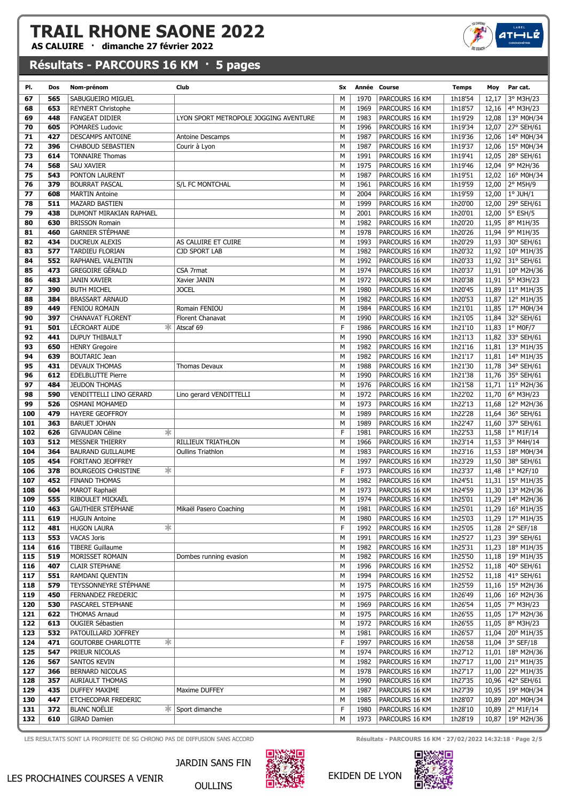AS CALUIRE · dimanche 27 février 2022

## Résultats - PARCOURS 16 KM · 5 pages

| PI.        | Dos        | Nom-prénom                                       | Club                                  | <b>Sx</b> |              | Année Course                     | <b>Temps</b>       | Moy            | Par cat.                                        |
|------------|------------|--------------------------------------------------|---------------------------------------|-----------|--------------|----------------------------------|--------------------|----------------|-------------------------------------------------|
| 67         | 565        | SABUGUEIRO MIGUEL                                |                                       | M         | 1970         | PARCOURS 16 KM                   | 1h18'54            | 12,17          | 3° M3H/23                                       |
| 68         | 653        | <b>REYNERT Christophe</b>                        |                                       | M         | 1969         | PARCOURS 16 KM                   | 1h18'57            | 12,16          | 4° M3H/23                                       |
| 69         | 448        | <b>FANGEAT DIDIER</b>                            | LYON SPORT METROPOLE JOGGING AVENTURE | M         | 1983         | PARCOURS 16 KM                   | 1h19'29            |                | 12,08   13° M0H/34                              |
| 70         | 605        | POMARES Ludovic                                  |                                       | M         | 1996         | PARCOURS 16 KM                   | 1h19'34            | 12,07          | 27° SEH/61                                      |
| 71         | 427        | DESCAMPS ANTOINE                                 | <b>Antoine Descamps</b>               | M         | 1987         | PARCOURS 16 KM                   | 1h19'36            | 12,06          | 14° M0H/34                                      |
| 72         | 396        | <b>CHABOUD SEBASTIEN</b>                         | Courir à Lyon                         | M         | 1987         | PARCOURS 16 KM                   | 1h19'37            | 12,06          | 15° M0H/34                                      |
| 73         | 614        | <b>TONNAIRE Thomas</b>                           |                                       | M         | 1991         | PARCOURS 16 KM                   | 1h19'41            | 12,05          | 28° SEH/61                                      |
| 74         | 568        | SAU XAVIER                                       |                                       | M         | 1975         | PARCOURS 16 KM                   | 1h19'46            | 12,04          | 9° M2H/36                                       |
| 75         | 543        | PONTON LAURENT                                   |                                       | M         | 1987         | PARCOURS 16 KM                   | 1h19'51            | 12,02          | 16° M0H/34                                      |
| 76         | 379        | <b>BOURRAT PASCAL</b>                            | S/L FC MONTCHAL                       | М         | 1961         | PARCOURS 16 KM                   | 1h19'59            | 12,00          | 2° M5H/9                                        |
| 77         | 608        | <b>MARTIN Antoine</b>                            |                                       | M         | 2004         | PARCOURS 16 KM                   | 1h19'59            | 12,00          | $1°$ JUH/ $1$                                   |
| 78         | 511        | <b>MAZARD BASTIEN</b>                            |                                       | M         | 1999         | PARCOURS 16 KM                   | 1h20'00            | 12,00          | 29° SEH/61                                      |
| 79         | 438        | DUMONT MIRAKIAN RAPHAEL                          |                                       | M<br>M    | 2001         | PARCOURS 16 KM                   | 1h20'01            | 12,00<br>11,95 | $5^\circ$ ESH/5                                 |
| 80         | 630<br>460 | <b>BRISSON Romain</b><br><b>GARNIER STÉPHANE</b> |                                       | M         | 1982<br>1978 | PARCOURS 16 KM                   | 1h20'20            |                | 8° M1H/35                                       |
| 81<br>82   | 434        | <b>DUCREUX ALEXIS</b>                            | AS CALUIRE ET CUIRE                   | M         | 1993         | PARCOURS 16 KM<br>PARCOURS 16 KM | 1h20'26<br>1h20'29 | 11,94          | 9° M1H/35<br>11,93 30° SEH/61                   |
| 83         | 577        | TARDIEU FLORIAN                                  | <b>CJD SPORT LAB</b>                  | M         | 1982         | PARCOURS 16 KM                   | 1h20'32            |                | 11,92   10° M1H/35                              |
| 84         | 552        | RAPHANEL VALENTIN                                |                                       | M         | 1992         | PARCOURS 16 KM                   | 1h20'33            |                | 11,92 31° SEH/61                                |
| 85         | 473        | GREGOIRE GÉRALD                                  | CSA 7rmat                             | M         | 1974         | PARCOURS 16 KM                   | 1h20'37            |                | 11,91   10° M2H/36                              |
| 86         | 483        | <b>JANIN XAVIER</b>                              | Xavier JANIN                          | M         | 1972         | PARCOURS 16 KM                   | 1h20'38            | 11,91          | 5° M3H/23                                       |
| 87         | 390        | <b>BUTH MICHEL</b>                               | <b>JOCEL</b>                          | M         | 1980         | PARCOURS 16 KM                   | 1h20'45            |                | 11,89   11° M1H/35                              |
| 88         | 384        | <b>BRASSART ARNAUD</b>                           |                                       | M         | 1982         | PARCOURS 16 KM                   | 1h20'53            | 11,87          | 12° M1H/35                                      |
| 89         | 449        | FENIOU ROMAIN                                    | Romain FENIOU                         | M         | 1984         | PARCOURS 16 KM                   | 1h21'01            |                | 11,85 17° M0H/34                                |
| 90         | 397        | <b>CHANAVAT FLORENT</b>                          | Florent Chanavat                      | M         | 1990         | PARCOURS 16 KM                   | 1h21'05            | 11,84          | 32° SEH/61                                      |
| 91         | 501        | LÉCROART AUDE                                    | Atscaf 69                             | F         | 1986         | PARCOURS 16 KM                   | 1h21'10            |                | 11,83   1º M0F/7                                |
| 92         | 441        | <b>DUPUY THIBAULT</b>                            |                                       | M         | 1990         | PARCOURS 16 KM                   | 1h21'13            | 11,82          | 33° SEH/61                                      |
| 93         | 650        | <b>HENRY Gregoire</b>                            |                                       | M         | 1982         | PARCOURS 16 KM                   | 1h21'16            |                | 11,81   13° M1H/35                              |
| 94         | 639        | <b>BOUTARIC Jean</b>                             |                                       | M         | 1982         | PARCOURS 16 KM                   | 1h21'17            |                | 11,81   14° M1H/35                              |
| 95         | 431        | <b>DEVAUX THOMAS</b>                             | Thomas Devaux                         | M         | 1988         | PARCOURS 16 KM                   | 1h21'30            | 11,78          | 34° SEH/61                                      |
| 96         | 612        | <b>EDELBLUTTE Pierre</b>                         |                                       | M         | 1990         | PARCOURS 16 KM                   | 1h21'38            |                | 11,76 35° SEH/61                                |
| 97         | 484        | <b>JEUDON THOMAS</b>                             |                                       | M         | 1976         | PARCOURS 16 KM                   | 1h21'58            |                | 11,71   11° M2H/36                              |
| 98         | 590        | VENDITTELLI LINO GERARD                          | Lino gerard VENDITTELLI               | M         | 1972         | PARCOURS 16 KM                   | 1h22'02            | 11,70          | 6° M3H/23                                       |
| 99         | 526        | <b>OSMANI MOHAMED</b>                            |                                       | M         | 1973         | PARCOURS 16 KM                   | 1h22'13            | 11,68          | 12° M2H/36                                      |
| 100        | 479        | <b>HAYERE GEOFFROY</b>                           |                                       | M         | 1989         | PARCOURS 16 KM                   | 1h22'28            |                | 11,64 36° SEH/61                                |
| 101        | 363        | <b>BARUET JOHAN</b>                              |                                       | M         | 1989         | PARCOURS 16 KM                   | 1h22'47            | 11,60          | 37° SEH/61                                      |
| 102        | 626        | *<br><b>GIVAUDAN Céline</b>                      |                                       | F         | 1981         | PARCOURS 16 KM                   | 1h22'53            |                | 11,58   1° M1F/14                               |
| 103        | 512<br>364 | MESSNER THIERRY                                  | RILLIEUX TRIATHLON                    | M<br>M    | 1966<br>1983 | PARCOURS 16 KM                   | 1h23'14<br>1h23'16 |                | 11,53 3° M4H/14                                 |
| 104<br>105 | 454        | <b>BAURAND GUILLAUME</b><br>FORITANO JEOFFREY    | <b>Oullins Triathlon</b>              | M         | 1997         | PARCOURS 16 KM<br>PARCOURS 16 KM | 1h23'29            | 11,53<br>11,50 | 18° M0H/34<br>38° SEH/61                        |
| 106        | 378        | <b>BOURGEOIS CHRISTINE</b><br>∗                  |                                       | F         | 1973         | PARCOURS 16 KM                   | 1h23'37            |                | 11,48   1° M2F/10                               |
| 107        | 452        | <b>FINAND THOMAS</b>                             |                                       | M         | 1982         | PARCOURS 16 KM                   | 1h24'51            |                | 11,31   15° M1H/35                              |
| 108        | 604        | <b>MAROT Raphaël</b>                             |                                       | M         | 1973         | PARCOURS 16 KM                   | 1h24'59            |                | 11,30   13° M2H/36                              |
| 109        | 555        | RIBOULET MICKAËL                                 |                                       | M         | 1974         | PARCOURS 16 KM                   | 1h25'01            |                | 11,29   14° M2H/36                              |
| 110        | 463        | <b>GAUTHIER STÉPHANE</b>                         | Mikaël Pasero Coaching                | М         | 1981         | PARCOURS 16 KM                   | 1h25'01            |                | $11,29$ 16° M1H/35                              |
| 111        | 619        | <b>HUGUN Antoine</b>                             |                                       | M         | 1980         | PARCOURS 16 KM                   | 1h25'03            |                | 11,29   17° M1H/35                              |
| 112        | 481        | ∗<br><b>HUGON LAURA</b>                          |                                       | F         | 1992         | PARCOURS 16 KM                   | 1h25'05            |                | 11,28   $2^{\circ}$ SEF/18                      |
| 113        | 553        | <b>VACAS Joris</b>                               |                                       | М         | 1991         | PARCOURS 16 KM                   | 1h25'27            |                | 11,23 39° SEH/61                                |
| 114        | 616        | <b>TIBERE Guillaume</b>                          |                                       | М         | 1982         | PARCOURS 16 KM                   | 1h25'31            |                | 11,23   18° M1H/35                              |
| 115        | 519        | MORISSET ROMAIN                                  | Dombes running evasion                | М         | 1982         | PARCOURS 16 KM                   | 1h25'50            |                | 11,18   19° M1H/35                              |
| 116        | 407        | <b>CLAIR STEPHANE</b>                            |                                       | М         | 1996         | PARCOURS 16 KM                   | 1h25'52            |                | 11,18   40° SEH/61                              |
| 117        | 551        | RAMDANI QUENTIN                                  |                                       | М         | 1994         | PARCOURS 16 KM                   | 1h25'52            |                | 11,18   41° SEH/61                              |
| 118        | 579        | TEYSSONNEYRE STEPHANE                            |                                       | М         | 1975         | PARCOURS 16 KM                   | 1h25'59            |                | 11,16   15° M2H/36                              |
| 119        | 450        | FERNANDEZ FREDERIC                               |                                       | М         | 1975         | PARCOURS 16 KM                   | 1h26'49            |                | 11,06   $16^{\circ}$ M2H/36                     |
| 120        | 530        | PASCAREL STEPHANE                                |                                       | М         | 1969         | PARCOURS 16 KM                   | 1h26'54            |                | 11,05   $7^{\circ}$ M3H/23                      |
| 121        | 622        | <b>THOMAS Arnaud</b>                             |                                       | М         | 1975         | PARCOURS 16 KM<br>PARCOURS 16 KM | 1h26'55            |                | 11,05   17° M2H/36                              |
| 122<br>123 | 613<br>532 | <b>OUGIER Sébastien</b><br>PATOUILLARD JOFFREY   |                                       | М<br>М    | 1972<br>1981 | PARCOURS 16 KM                   | 1h26'55<br>1h26'57 |                | 11,05   8 $^{\circ}$ M3H/23<br>11,04 20° M1H/35 |
| 124        | 471        | ☀<br><b>GOUTORBE CHARLOTTE</b>                   |                                       | F         | 1997         | PARCOURS 16 KM                   | 1h26'58            |                | 11,04 3° SEF/18                                 |
| 125        | 547        | PRIEUR NICOLAS                                   |                                       | М         | 1974         | PARCOURS 16 KM                   | 1h27'12            |                | 11,01   18° M2H/36                              |
| 126        | 567        | SANTOS KEVIN                                     |                                       | М         | 1982         | PARCOURS 16 KM                   | 1h27'17            |                | 11,00 21° M1H/35                                |
| 127        | 366        | BERNARD NICOLAS                                  |                                       | М         | 1978         | PARCOURS 16 KM                   | 1h27'17            |                | 11,00 22° M1H/35                                |
| 128        | 357        | <b>AURIAULT THOMAS</b>                           |                                       | М         | 1990         | PARCOURS 16 KM                   | 1h27'35            |                | 10,96   42° SEH/61                              |
| 129        | 435        | <b>DUFFEY MAXIME</b>                             | Maxime DUFFEY                         | М         | 1987         | PARCOURS 16 KM                   | 1h27'39            |                | 10,95 19° M0H/34                                |
| 130        | 447        | ETCHECOPAR FREDERIC                              |                                       | М         | 1985         | PARCOURS 16 KM                   | 1h28'07            |                | 10,89 20° M0H/34                                |
| 131        | 372        | <b>BLANC NOËLIE</b><br>∗.                        | Sport dimanche                        | F         | 1980         | PARCOURS 16 KM                   | 1h28'10            | 10,89          | 2° M1F/14                                       |
| 132        | 610        | <b>GIRAD Damien</b>                              |                                       | М         | 1973         | PARCOURS 16 KM                   | 1h28'19            |                | 10,87 19° M2H/36                                |
|            |            |                                                  |                                       |           |              |                                  |                    |                |                                                 |

LES RESULTATS SONT LA PROPRIETE DE SG CHRONO PAS DE DIFFUSION SANS ACCORD **Résultats - PARCOURS 16 KM · 27/02/2022 14:32:18 · Page 2/5** 



OULLINS

 $ATHLL$ 

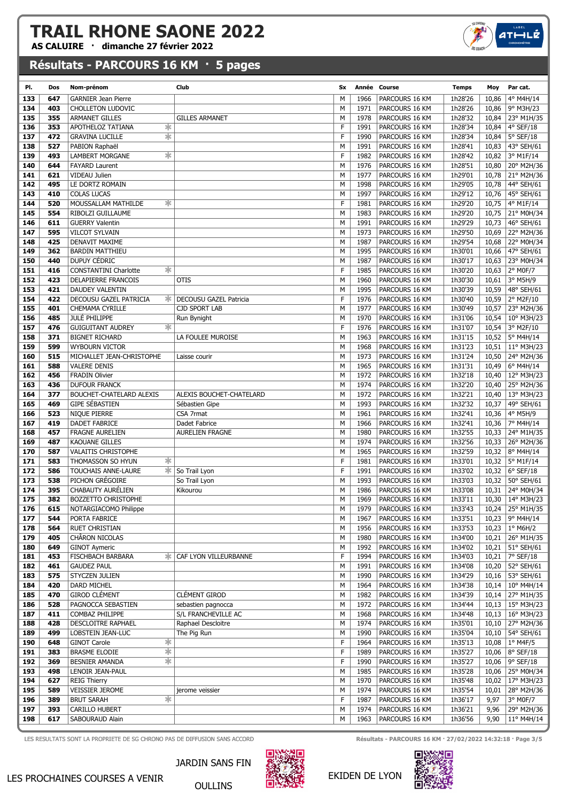AS CALUIRE · dimanche 27 février 2022

## Résultats - PARCOURS 16 KM · 5 pages

| PI. | Dos | Nom-prénom                             | Club                     | Sx |      | Année Course   | <b>Temps</b> | Moy   | Par cat.                    |
|-----|-----|----------------------------------------|--------------------------|----|------|----------------|--------------|-------|-----------------------------|
| 133 | 647 | <b>GARNIER Jean Pierre</b>             |                          | M  | 1966 | PARCOURS 16 KM | 1h28'26      | 10,86 | 4° M4H/14                   |
| 134 | 403 | <b>CHOLLETON LUDOVIC</b>               |                          | M  | 1971 | PARCOURS 16 KM | 1h28'26      | 10,86 | 9° M3H/23                   |
| 135 | 355 | ARMANET GILLES                         | <b>GILLES ARMANET</b>    | M  | 1978 | PARCOURS 16 KM | 1h28'32      | 10,84 | 23° M1H/35                  |
| 136 | 353 | ∗<br>APOTHELOZ TATIANA                 |                          | F  | 1991 | PARCOURS 16 KM | 1h28'34      | 10,84 | 4° SEF/18                   |
| 137 | 472 | ☀<br><b>GRAVINA LUCILLE</b>            |                          | F  | 1990 | PARCOURS 16 KM | 1h28'34      | 10,84 | $5°$ SEF/18                 |
| 138 | 527 | PABION Raphaël                         |                          | M  | 1991 | PARCOURS 16 KM | 1h28'41      |       | 10,83 43° SEH/61            |
| 139 | 493 | ∗<br><b>LAMBERT MORGANE</b>            |                          | F  | 1982 | PARCOURS 16 KM | 1h28'42      | 10,82 | 3° M1F/14                   |
| 140 | 644 | <b>FAYARD Laurent</b>                  |                          | M  | 1976 | PARCOURS 16 KM | 1h28'51      | 10,80 | 20° M2H/36                  |
| 141 | 621 | <b>VIDEAU Julien</b>                   |                          | M  | 1977 | PARCOURS 16 KM | 1h29'01      | 10,78 | $\vert$ 21° M2H/36          |
| 142 | 495 | LE DORTZ ROMAIN                        |                          | M  | 1998 | PARCOURS 16 KM | 1h29'05      | 10,78 | 44° SEH/61                  |
| 143 | 410 | <b>COLAS LUCAS</b>                     |                          | M  | 1997 | PARCOURS 16 KM | 1h29'12      | 10,76 | 45° SEH/61                  |
| 144 | 520 | ∗<br>MOUSSALLAM MATHILDE               |                          | F  | 1981 | PARCOURS 16 KM | 1h29'20      |       | 10,75   $4^{\circ}$ M1F/14  |
| 145 | 554 | RIBOLZI GUILLAUME                      |                          | M  | 1983 | PARCOURS 16 KM | 1h29'20      | 10,75 | 21° M0H/34                  |
|     | 611 | <b>GUERRY Valentin</b>                 |                          | M  | 1991 |                |              |       |                             |
| 146 |     |                                        |                          |    |      | PARCOURS 16 KM | 1h29'29      | 10,73 | 46° SEH/61                  |
| 147 | 595 | <b>VILCOT SYLVAIN</b>                  |                          | M  | 1973 | PARCOURS 16 KM | 1h29'50      | 10,69 | 22° M2H/36                  |
| 148 | 425 | <b>DENAVIT MAXIME</b>                  |                          | M  | 1987 | PARCOURS 16 KM | 1h29'54      | 10,68 | 22° M0H/34                  |
| 149 | 362 | <b>BARDIN MATTHIEU</b>                 |                          | M  | 1995 | PARCOURS 16 KM | 1h30'01      | 10,66 | 47° SEH/61                  |
| 150 | 440 | DUPUY CÉDRIC                           |                          | M  | 1987 | PARCOURS 16 KM | 1h30'17      | 10,63 | 23° M0H/34                  |
| 151 | 416 | ∗<br><b>CONSTANTINI Charlotte</b>      |                          | E  | 1985 | PARCOURS 16 KM | 1h30'20      | 10,63 | 2° M0F/7                    |
| 152 | 423 | DELAPIERRE FRANCOIS                    | <b>OTIS</b>              | M  | 1960 | PARCOURS 16 KM | 1h30'30      | 10,61 | 3° M5H/9                    |
| 153 | 421 | DAUDEY VALENTIN                        |                          | M  | 1995 | PARCOURS 16 KM | 1h30'39      | 10,59 | 48° SEH/61                  |
| 154 | 422 | DECOUSU GAZEL PATRICIA<br>∗            | DECOUSU GAZEL Patricia   | F  | 1976 | PARCOURS 16 KM | 1h30'40      | 10,59 | 2° M2F/10                   |
| 155 | 401 | CHEMAMA CYRILLE                        | <b>CJD SPORT LAB</b>     | M  | 1977 | PARCOURS 16 KM | 1h30'49      | 10,57 | 23° M2H/36                  |
| 156 | 485 | <b>JULÉ PHILIPPE</b>                   | Run Bynight              | M  | 1970 | PARCOURS 16 KM | 1h31'06      |       | 10,54   10° M3H/23          |
| 157 | 476 | $\ast$<br><b>GUIGUITANT AUDREY</b>     |                          | F  | 1976 | PARCOURS 16 KM | 1h31'07      | 10,54 | 3° M2F/10                   |
| 158 | 371 | <b>BIGNET RICHARD</b>                  | LA FOULEE MUROISE        | M  | 1963 | PARCOURS 16 KM | 1h31'15      | 10,52 | 5° M4H/14                   |
| 159 | 599 | <b>WYBOURN VICTOR</b>                  |                          | M  | 1968 | PARCOURS 16 KM | 1h31'23      |       | 10,51   11° M3H/23          |
| 160 | 515 | MICHALLET JEAN-CHRISTOPHE              | Laisse courir            | M  | 1973 | PARCOURS 16 KM | 1h31'24      | 10,50 | 24° M2H/36                  |
| 161 | 588 | <b>VALERE DENIS</b>                    |                          | M  | 1965 | PARCOURS 16 KM | 1h31'31      | 10,49 | $6^{\circ}$ M4H/14          |
| 162 | 456 | <b>FRADIN Olivier</b>                  |                          | M  | 1972 | PARCOURS 16 KM | 1h32'18      | 10,40 | 12° M3H/23                  |
| 163 | 436 | <b>DUFOUR FRANCK</b>                   |                          | M  | 1974 | PARCOURS 16 KM | 1h32'20      | 10,40 | 25° M2H/36                  |
| 164 | 377 | BOUCHET-CHATELARD ALEXIS               | ALEXIS BOUCHET-CHATELARD | M  | 1972 | PARCOURS 16 KM | 1h32'21      | 10,40 | 13° M3H/23                  |
| 165 | 469 | <b>GIPE SÉBASTIEN</b>                  | Sébastien Gipe           | M  | 1993 | PARCOURS 16 KM | 1h32'32      | 10,37 | 49° SEH/61                  |
| 166 | 523 | NIQUE PIERRE                           | CSA 7rmat                | M  | 1961 | PARCOURS 16 KM | 1h32'41      | 10,36 | 4° M5H/9                    |
| 167 | 419 | DADET FABRICE                          | Dadet Fabrice            | M  | 1966 | PARCOURS 16 KM | 1h32'41      | 10,36 | 7° M4H/14                   |
| 168 | 457 | <b>FRAGNE AURELIEN</b>                 | <b>AURELIEN FRAGNE</b>   | M  | 1980 | PARCOURS 16 KM | 1h32'55      |       | 10,33 24° M1H/35            |
| 169 | 487 | <b>KAOUANE GILLES</b>                  |                          | M  | 1974 | PARCOURS 16 KM | 1h32'56      | 10,33 | 26° M2H/36                  |
| 170 | 587 | <b>VALAITIS CHRISTOPHE</b>             |                          | M  | 1965 | PARCOURS 16 KM | 1h32'59      | 10,32 | 8° M4H/14                   |
| 171 | 583 | ∗<br>THOMASSON SO HYUN                 |                          | F  | 1981 | PARCOURS 16 KM | 1h33'01      |       | 10,32   $5^{\circ}$ M1F/14  |
| 172 | 586 | $\ast$  <br><b>TOUCHAIS ANNE-LAURE</b> | So Trail Lyon            | F  | 1991 | PARCOURS 16 KM | 1h33'02      |       | 10,32   $6^{\circ}$ SEF/18  |
| 173 | 538 | PICHON GRÉGOIRE                        | So Trail Lyon            | M  | 1993 | PARCOURS 16 KM | 1h33'03      |       | 10,32 50° SEH/61            |
|     |     |                                        |                          | M  |      |                |              |       |                             |
| 174 | 395 | CHABAUTY AURELIEN                      | Kikourou                 |    | 1986 | PARCOURS 16 KM | 1h33'08      |       | 10,31 24° M0H/34            |
| 175 | 382 | <b>BOZZETTO CHRISTOPHE</b>             |                          | M  | 1969 | PARCOURS 16 KM | 1h33'11      |       | 10,30 14° M3H/23            |
| 176 | 615 | NOTARGIACOMO Philippe                  |                          | M  | 1979 | PARCOURS 16 KM | 1h33'43      |       | 10,24 25° M1H/35            |
| 177 | 544 | PORTA FABRICE                          |                          | М  | 1967 | PARCOURS 16 KM | 1h33'51      |       | 10,23 9° M4H/14             |
| 178 | 564 | RUET CHRISTIAN                         |                          | М  | 1956 | PARCOURS 16 KM | 1h33'53      |       | 10,23   $1^{\circ}$ M6H/2   |
| 179 | 405 | CHÂRON NICOLAS                         |                          | М  | 1980 | PARCOURS 16 KM | 1h34'00      |       | 10,21 26° M1H/35            |
| 180 | 649 | <b>GINOT Aymeric</b>                   |                          | М  | 1992 | PARCOURS 16 KM | 1h34'02      |       | 10,21 51° SEH/61            |
| 181 | 453 | <b>FISCHBACH BARBARA</b><br>∗.         | CAF LYON VILLEURBANNE    | F  | 1994 | PARCOURS 16 KM | 1h34'03      |       | 10,21   $7^{\circ}$ SEF/18  |
| 182 | 461 | <b>GAUDEZ PAUL</b>                     |                          | М  | 1991 | PARCOURS 16 KM | 1h34'08      | 10,20 | 52° SEH/61                  |
| 183 | 575 | STYCZEN JULIEN                         |                          | М  | 1990 | PARCOURS 16 KM | 1h34'29      | 10,16 | 53° SEH/61                  |
| 184 | 420 | DARD MICHEL                            |                          | М  | 1964 | PARCOURS 16 KM | 1h34'38      |       | $10,14$ 10° M4H/14          |
| 185 | 470 | <b>GIROD CLÉMENT</b>                   | <b>CLÉMENT GIROD</b>     | М  | 1982 | PARCOURS 16 KM | 1h34'39      |       | 10,14 27° M1H/35            |
| 186 | 528 | PAGNOCCA SEBASTIEN                     | sebastien pagnocca       | М  | 1972 | PARCOURS 16 KM | 1h34'44      |       | 10,13   15° M3H/23          |
| 187 | 411 | COMBAZ PHILIPPE                        | S/L FRANCHEVILLE AC      | м  | 1968 | PARCOURS 16 KM | 1h34'48      |       | 10,13   $16^{\circ}$ M3H/23 |
| 188 | 428 | DESCLOITRE RAPHAEL                     | Raphael Descloitre       | М  | 1974 | PARCOURS 16 KM | 1h35'01      |       | 10,10 27° M2H/36            |
| 189 | 499 | LOBSTEIN JEAN-LUC                      | The Pig Run              | М  | 1990 | PARCOURS 16 KM | 1h35'04      | 10,10 | 54° SEH/61                  |
| 190 | 648 | ∗<br><b>GINOT Carole</b>               |                          | F  | 1964 | PARCOURS 16 KM | 1h35'13      |       | 10,08   $1^{\circ}$ M4F/5   |
| 191 | 383 | ☀<br><b>BRASME ELODIE</b>              |                          | F  | 1989 | PARCOURS 16 KM | 1h35'27      | 10,06 | 8° SEF/18                   |
| 192 | 369 | ☀<br>BESNIER AMANDA                    |                          | F  | 1990 | PARCOURS 16 KM | 1h35'27      | 10,06 | 9° SEF/18                   |
| 193 | 498 | LENOIR JEAN-PAUL                       |                          | М  | 1985 | PARCOURS 16 KM | 1h35'28      |       | 10,06 25° M0H/34            |
| 194 | 627 | <b>REIG Thierry</b>                    |                          | м  | 1970 | PARCOURS 16 KM | 1h35'48      |       | 10,02   17° M3H/23          |
| 195 | 589 | <b>VEISSIER JEROME</b>                 | jerome veissier          | М  | 1974 | PARCOURS 16 KM | 1h35'54      | 10,01 | 28° M2H/36                  |
| 196 | 389 | 宋<br><b>BRUT SARAH</b>                 |                          | F  | 1987 | PARCOURS 16 KM | 1h36'17      | 9,97  | 3° M0F/7                    |
| 197 | 393 | CARILLO HUBERT                         |                          | M  | 1974 | PARCOURS 16 KM | 1h36'21      | 9,96  | 29° M2H/36                  |
| 198 | 617 | SABOURAUD Alain                        |                          | М  | 1963 | PARCOURS 16 KM | 1h36'56      | 9,90  | 11° M4H/14                  |
|     |     |                                        |                          |    |      |                |              |       |                             |



OULLINS

LES RESULTATS SONT LA PROPRIETE DE SG CHRONO PAS DE DIFFUSION SANS ACCORD **Résultats - PARCOURS 16 KM · 27/02/2022 14:32:18 · Page 3/5** 

 $ATHLL$ 



#### EKIDEN DE LYON

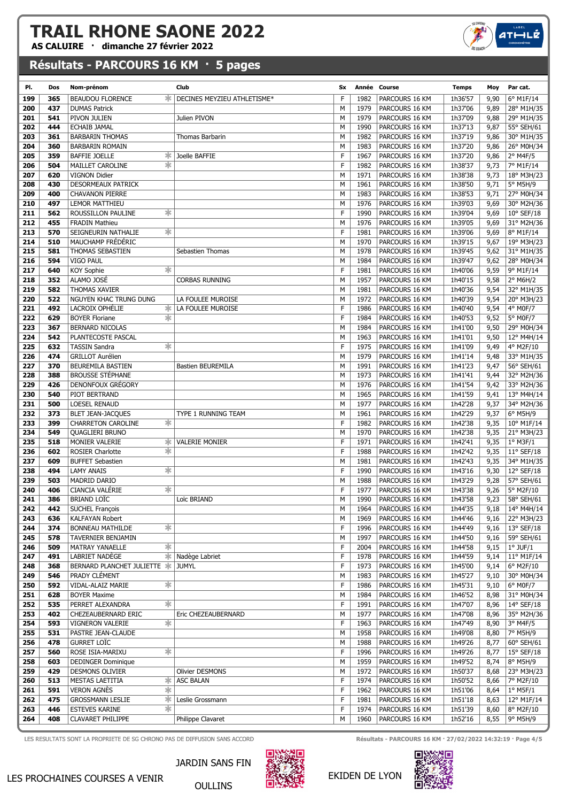AS CALUIRE · dimanche 27 février 2022

## Résultats - PARCOURS 16 KM · 5 pages

| PI.        | Dos | Nom-prénom                        | Club                        | Sx | Année Course |                | Temps   | Moy  | Par cat.            |
|------------|-----|-----------------------------------|-----------------------------|----|--------------|----------------|---------|------|---------------------|
| 199        | 365 | <b>BEAUDOU FLORENCE</b><br>ж.     | DECINES MEYZIEU ATHLETISME* | F  | 1982         | PARCOURS 16 KM | 1h36'57 | 9,90 | 6° M1F/14           |
| 200        | 437 | <b>DUMAS Patrick</b>              |                             | M  | 1979         | PARCOURS 16 KM | 1h37'06 | 9,89 | 28° M1H/35          |
| 201        | 541 | PIVON JULIEN                      | Julien PIVON                | M  | 1979         | PARCOURS 16 KM | 1h37'09 | 9,88 | 29° M1H/35          |
| 202        | 444 | ECHAIB JAMAL                      |                             | M  | 1990         | PARCOURS 16 KM | 1h37'13 | 9,87 | 55° SEH/61          |
| 203        | 361 | <b>BARBARIN THOMAS</b>            | Thomas Barbarin             | M  | 1982         | PARCOURS 16 KM | 1h37'19 | 9,86 | 30° M1H/35          |
| 204        | 360 | <b>BARBARIN ROMAIN</b>            |                             | M  | 1983         | PARCOURS 16 KM | 1h37'20 | 9,86 | 26° M0H/34          |
| 205        | 359 | <b>BAFFIE JOELLE</b><br>∗         | Joelle BAFFIE               | F  | 1967         | PARCOURS 16 KM | 1h37'20 | 9,86 | $2°$ M4F/5          |
| 206        | 504 | ∗<br>MAILLET CAROLINE             |                             | F  | 1982         | PARCOURS 16 KM | 1h38'37 | 9,73 | 7° M1F/14           |
| 207        | 620 | <b>VIGNON Didier</b>              |                             | М  | 1971         | PARCOURS 16 KM | 1h38'38 | 9,73 | 18° M3H/23          |
| 208        | 430 | <b>DESORMEAUX PATRICK</b>         |                             | M  | 1961         | PARCOURS 16 KM | 1h38'50 | 9,71 | 5° M5H/9            |
| 209        | 400 | <b>CHAVANON PIERRE</b>            |                             | M  | 1983         | PARCOURS 16 KM | 1h38'53 | 9,71 | 27° M0H/34          |
|            | 497 | <b>LEMOR MATTHIEU</b>             |                             | M  | 1976         | PARCOURS 16 KM | 1h39'03 | 9,69 | 30° M2H/36          |
| 210<br>211 | 562 | ∗<br>ROUSSILLON PAULINE           |                             | F  | 1990         |                | 1h39'04 |      | $10^{\circ}$ SEF/18 |
|            |     |                                   |                             |    |              | PARCOURS 16 KM |         | 9,69 |                     |
| 212        | 455 | <b>FRADIN Mathieu</b>             |                             | M  | 1976         | PARCOURS 16 KM | 1h39'05 | 9,69 | 31° M2H/36          |
| 213        | 570 | SEIGNEURIN NATHALIE<br>∗          |                             | F  | 1981         | PARCOURS 16 KM | 1h39'06 | 9,69 | 8° M1F/14           |
| 214        | 510 | MAUCHAMP FREDERIC                 |                             | M  | 1970         | PARCOURS 16 KM | 1h39'15 | 9,67 | 19° M3H/23          |
| 215        | 581 | THOMAS SEBASTIEN                  | Sebastien Thomas            | M  | 1978         | PARCOURS 16 KM | 1h39'45 | 9,62 | 31° M1H/35          |
| 216        | 594 | VIGO PAUL                         |                             | M  | 1984         | PARCOURS 16 KM | 1h39'47 | 9,62 | 28° M0H/34          |
| 217        | 640 | ∗<br><b>KOY Sophie</b>            |                             | F  | 1981         | PARCOURS 16 KM | 1h40'06 | 9,59 | 9° M1F/14           |
| 218        | 352 | ALAMO JOSÉ                        | <b>CORBAS RUNNING</b>       | M  | 1957         | PARCOURS 16 KM | 1h40'15 | 9,58 | $2^{\circ}$ M6H/2   |
| 219        | 582 | <b>THOMAS XAVIER</b>              |                             | М  | 1981         | PARCOURS 16 KM | 1h40'36 | 9,54 | 32° M1H/35          |
| 220        | 522 | NGUYEN KHAC TRUNG DUNG            | LA FOULEE MUROISE           | M  | 1972         | PARCOURS 16 KM | 1h40'39 | 9,54 | 20° M3H/23          |
| 221        | 492 | LACROIX OPHÉLIE<br>∗.             | LA FOULEE MUROISE           | F  | 1986         | PARCOURS 16 KM | 1h40'40 | 9,54 | 4° M0F/7            |
| 222        | 629 | <b>BOYER Floriane</b><br>∗        |                             | F  | 1984         | PARCOURS 16 KM | 1h40'53 | 9,52 | 5° M0F/7            |
| 223        | 367 | <b>BERNARD NICOLAS</b>            |                             | M  | 1984         | PARCOURS 16 KM | 1h41'00 | 9,50 | 29° M0H/34          |
| 224        | 542 | PLANTECOSTE PASCAL                |                             | M  | 1963         | PARCOURS 16 KM | 1h41'01 | 9,50 | 12° M4H/14          |
| 225        | 632 | ∗<br><b>TASSIN Sandra</b>         |                             | F  | 1975         | PARCOURS 16 KM | 1h41'09 | 9,49 | 4° M2F/10           |
| 226        | 474 | <b>GRILLOT Aurélien</b>           |                             | M  | 1979         | PARCOURS 16 KM | 1h41'14 | 9,48 | 33° M1H/35          |
| 227        | 370 | BEUREMILA BASTIEN                 | <b>Bastien BEUREMILA</b>    | M  | 1991         | PARCOURS 16 KM | 1h41'23 | 9,47 | 56° SEH/61          |
| 228        | 388 | <b>BROUSSE STÉPHANE</b>           |                             | M  | 1973         | PARCOURS 16 KM | 1h41'41 | 9,44 | 32° M2H/36          |
| 229        | 426 | DENONFOUX GREGORY                 |                             | M  | 1976         | PARCOURS 16 KM | 1h41'54 | 9,42 | 33° M2H/36          |
| 230        | 540 | PIOT BERTRAND                     |                             | M  | 1965         | PARCOURS 16 KM | 1h41'59 | 9,41 | 13° M4H/14          |
| 231        | 500 | <b>LOESEL RENAUD</b>              |                             | M  | 1977         | PARCOURS 16 KM | 1h42'28 | 9,37 | 34° M2H/36          |
| 232        | 373 | <b>BLET JEAN-JACQUES</b>          | TYPE 1 RUNNING TEAM         | М  | 1961         | PARCOURS 16 KM | 1h42'29 | 9,37 | 6° M5H/9            |
| 233        | 399 | ∗<br><b>CHARRETON CAROLINE</b>    |                             | F  | 1982         | PARCOURS 16 KM | 1h42'38 | 9,35 | 10° M1F/14          |
| 234        | 549 | <b>QUAGLIERI BRUNO</b>            |                             | M  | 1970         | PARCOURS 16 KM | 1h42'38 | 9,35 | 21° M3H/23          |
| 235        | 518 | MONIER VALERIE<br>∗               | <b>VALERIE MONIER</b>       | F  | 1971         | PARCOURS 16 KM | 1h42'41 | 9,35 | $1°$ M3F/1          |
| 236        | 602 | ∗<br><b>ROSIER Charlotte</b>      |                             | F  | 1988         | PARCOURS 16 KM | 1h42'42 | 9,35 | $11^{\circ}$ SEF/18 |
| 237        | 609 | <b>BUFFET Sebastien</b>           |                             | M  | 1981         | PARCOURS 16 KM | 1h42'43 | 9,35 |                     |
|            |     |                                   |                             | F  |              |                |         |      | 34° M1H/35          |
| 238        | 494 | ∗<br><b>LAMY ANAIS</b>            |                             |    | 1990         | PARCOURS 16 KM | 1h43'16 | 9,30 | 12° SEF/18          |
| 239        | 503 | MADRID DARIO                      |                             | M  | 1988         | PARCOURS 16 KM | 1h43'29 | 9,28 | 57° SEH/61          |
| 240        | 406 | ∗<br>CIANCIA VALERIE              |                             | F  | 1977         | PARCOURS 16 KM | 1h43'38 | 9,26 | 5° M2F/10           |
| 241        | 386 | <b>BRIAND LOTC</b>                | Loïc BRIAND                 | M  | 1990         | PARCOURS 16 KM | 1h43'58 | 9,23 | 58° SEH/61          |
| 242        | 442 | SUCHEL François                   |                             | M  | 1964         | PARCOURS 16 KM | 1h44'35 | 9,18 | 14° M4H/14          |
| 243        | 636 | <b>KALFAYAN Robert</b>            |                             | м  | 1969         | PARCOURS 16 KM | 1h44'46 | 9,16 | 22° M3H/23          |
| 244        | 374 | ∗<br><b>BONNEAU MATHILDE</b>      |                             | F  | 1996         | PARCOURS 16 KM | 1h44'49 | 9,16 | 13° SEF/18          |
| 245        | 578 | TAVERNIER BENJAMIN                |                             | М  | 1997         | PARCOURS 16 KM | 1h44'50 | 9,16 | 59° SEH/61          |
| 246        | 509 | MATRAY YANAELLE<br>∗              |                             | F  | 2004         | PARCOURS 16 KM | 1h44'58 | 9,15 | $1°$ JUF/ $1$       |
| 247        | 491 | LABRIET NADÈGE                    | <b>Wadège Labriet</b>       | F  | 1978         | PARCOURS 16 KM | 1h44'59 | 9,14 | 11° M1F/14          |
| 248        | 368 | BERNARD PLANCHET JULIETTE * JUMYL |                             | F  | 1973         | PARCOURS 16 KM | 1h45'00 | 9,14 | 6° M2F/10           |
| 249        | 546 | PRADY CLÉMENT                     |                             | М  | 1983         | PARCOURS 16 KM | 1h45'27 | 9,10 | 30° M0H/34          |
| 250        | 592 | VIDAL-ALAIZ MARIE<br>∗            |                             | F  | 1986         | PARCOURS 16 KM | 1h45'31 | 9,10 | 6° M0F/7            |
| 251        | 628 | <b>BOYER Maxime</b>               |                             | М  | 1984         | PARCOURS 16 KM | 1h46'52 | 8,98 | 31° M0H/34          |
| 252        | 535 | ∗<br>PERRET ALEXANDRA             |                             | F  | 1991         | PARCOURS 16 KM | 1h47'07 | 8,96 | 14° SEF/18          |
| 253        | 402 | CHEZEAUBERNARD ERIC               | Eric CHEZEAUBERNARD         | М  | 1977         | PARCOURS 16 KM | 1h47'08 | 8,96 | 35° M2H/36          |
| 254        | 593 | ∗<br>VIGNERON VALERIE             |                             | F  | 1963         | PARCOURS 16 KM | 1h47'49 | 8,90 | $3°$ M4F/5          |
| 255        | 531 | PASTRE JEAN-CLAUDE                |                             | М  | 1958         | PARCOURS 16 KM | 1h49'08 | 8,80 | 7° M5H/9            |
| 256        | 478 | <b>GURRET LOÏC</b>                |                             | М  | 1988         | PARCOURS 16 KM | 1h49'26 | 8,77 | 60° SEH/61          |
| 257        | 560 | ∗<br>ROSE ISIA-MARIXU             |                             | F  | 1996         | PARCOURS 16 KM | 1h49'26 | 8,77 | $15^{\circ}$ SEF/18 |
| 258        | 603 | <b>DEDINGER Dominique</b>         |                             | М  | 1959         | PARCOURS 16 KM | 1h49'52 | 8,74 | 8° M5H/9            |
| 259        | 429 | <b>DESMONS OLIVIER</b>            | Olivier DESMONS             | М  | 1972         | PARCOURS 16 KM | 1h50'37 | 8,68 | 23° M3H/23          |
| 260        | 513 | MESTAS LAETITIA<br>∗.             | <b>ASC BALAN</b>            | F  | 1974         | PARCOURS 16 KM | 1h50'52 | 8,66 | 7° M2F/10           |
| 261        | 591 | 宋<br><b>VERON AGNÉS</b>           |                             | F  | 1962         | PARCOURS 16 KM | 1h51'06 | 8,64 | $1^{\circ}$ M5F/1   |
| 262        | 475 | <b>GROSSMANN LESLIE</b><br>∗.     | Leslie Grossmann            | F  | 1981         | PARCOURS 16 KM | 1h51'18 | 8,63 | 12° M1F/14          |
| 263        | 446 | <b>ESTEVES KARINE</b><br>$\ast$   |                             | F  | 1974         | PARCOURS 16 KM | 1h51'39 | 8,60 | 8° M2F/10           |
| 264        | 408 | <b>CLAVARET PHILIPPE</b>          | Philippe Clavaret           | М  | 1960         | PARCOURS 16 KM | 1h52'16 | 8,55 | 9° M5H/9            |
|            |     |                                   |                             |    |              |                |         |      |                     |

LES RESULTATS SONT LA PROPRIETE DE SG CHRONO PAS DE DIFFUSION SANS ACCORD **Résultats - PARCOURS 16 KM · 27/02/2022 14:32:19 · Page 4/5** 



OULLINS

EKIDEN DE LYON



# $ATHIL$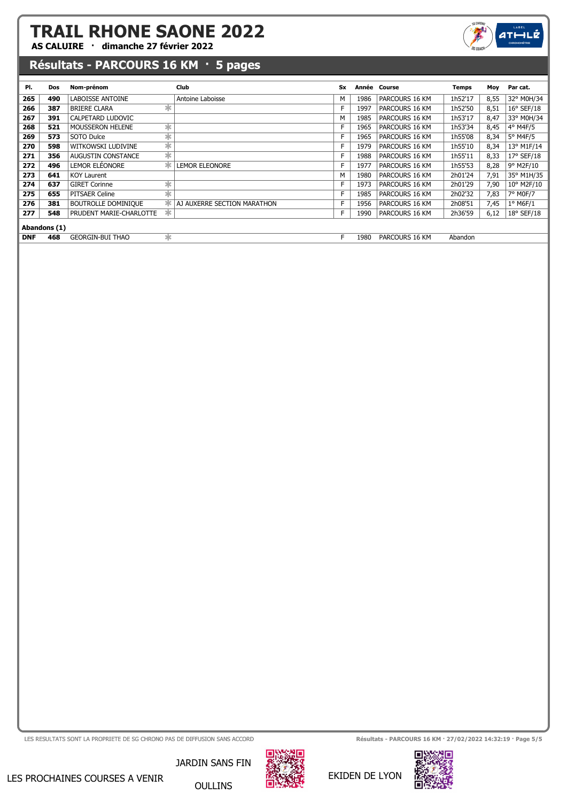AS CALUIRE · dimanche 27 février 2022



## Résultats - PARCOURS 16 KM · 5 pages

| PI.        | <b>Dos</b>   | Nom-prénom                      | Club                        | <b>Sx</b> | Année | Course         | Temps   | Moy  | Par cat.            |
|------------|--------------|---------------------------------|-----------------------------|-----------|-------|----------------|---------|------|---------------------|
| 265        | 490          | <b>LABOISSE ANTOINE</b>         | Antoine Laboisse            | M         | 1986  | PARCOURS 16 KM | 1h52'17 | 8,55 | 32° M0H/34          |
| 266        | 387          | $\ast$<br><b>BRIERE CLARA</b>   |                             | F         | 1997  | PARCOURS 16 KM | 1h52'50 | 8,51 | $16^{\circ}$ SEF/18 |
| 267        | 391          | CALPETARD LUDOVIC               |                             | M         | 1985  | PARCOURS 16 KM | 1h53'17 | 8,47 | 33° M0H/34          |
| 268        | 521          | ∗<br><b>MOUSSERON HELENE</b>    |                             | F         | 1965  | PARCOURS 16 KM | 1h53'34 | 8,45 | 4° M4F/5            |
| 269        | 573          | $\ast$<br>SOTO Dulce            |                             | F         | 1965  | PARCOURS 16 KM | 1h55'08 | 8,34 | $5^\circ$ M4F/5     |
| 270        | 598          | $\ast$<br>WITKOWSKI LUDIVINE    |                             | F         | 1979  | PARCOURS 16 KM | 1h55'10 | 8,34 | 13° M1F/14          |
| 271        | 356          | ∗<br>AUGUSTIN CONSTANCE         |                             | F         | 1988  | PARCOURS 16 KM | 1h55'11 | 8,33 | 17° SEF/18          |
| 272        | 496          | LEMOR ELÉONORE                  | <b>LEMOR ELEONORE</b>       | F         | 1977  | PARCOURS 16 KM | 1h55'53 | 8,28 | 9° M2F/10           |
| 273        | 641          | <b>KOY Laurent</b>              |                             | М         | 1980  | PARCOURS 16 KM | 2h01'24 | 7,91 | 35° M1H/35          |
| 274        | 637          | $\ast$<br><b>GIRET Corinne</b>  |                             | F         | 1973  | PARCOURS 16 KM | 2h01'29 | 7,90 | 10° M2F/10          |
| 275        | 655          | $\ast$<br>PITSAER Celine        |                             | F         | 1985  | PARCOURS 16 KM | 2h02'32 | 7,83 | 7° M0F/7            |
| 276        | 381          | ж<br><b>BOUTROLLE DOMINIQUE</b> | AJ AUXERRE SECTION MARATHON | F         | 1956  | PARCOURS 16 KM | 2h08'51 | 7,45 | $1°$ M6F/1          |
| 277        | 548          | ж<br>PRUDENT MARIE-CHARLOTTE    |                             | F         | 1990  | PARCOURS 16 KM | 2h36'59 | 6,12 | $18°$ SEF/18        |
|            | Abandons (1) |                                 |                             |           |       |                |         |      |                     |
| <b>DNF</b> | 468          | ж<br><b>GEORGIN-BUI THAO</b>    |                             | F         | 1980  | PARCOURS 16 KM | Abandon |      |                     |



LES RESULTATS SONT LA PROPRIETE DE SG CHRONO PAS DE DIFFUSION SANS ACCORD RESULTATS AND RÉSULTATS ANN · 27/02/2022 14:32:19 · Page 5/5



EKIDEN DE LYON

JARDIN SANS FIN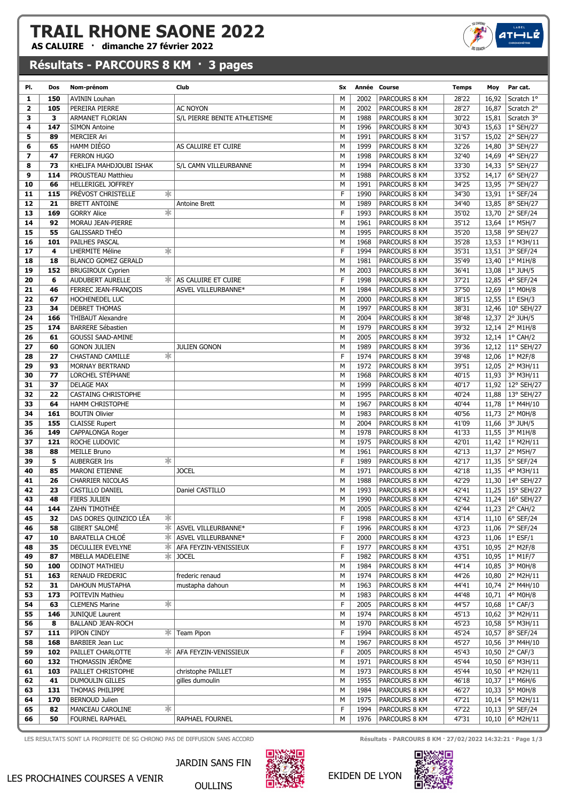AS CALUIRE · dimanche 27 février 2022

#### Résultats - PARCOURS 8 KM · 3 pages

| PI.            | Dos | Nom-prénom                     | Club                                   | Sx |      | Année Course  | <b>Temps</b> | Moy   | Par cat.                    |
|----------------|-----|--------------------------------|----------------------------------------|----|------|---------------|--------------|-------|-----------------------------|
| 1              | 150 | <b>AVININ Louhan</b>           |                                        | M  | 2002 | PARCOURS 8 KM | 28'22        | 16,92 | Scratch 1°                  |
| $\overline{2}$ | 105 | PEREIRA PIERRE                 | <b>AC NOYON</b>                        | M  | 2002 | PARCOURS 8 KM | 28'27        | 16,87 | Scratch 2°                  |
| 3              | 3   | ARMANET FLORIAN                | S/L PIERRE BENITE ATHLETISME           | M  | 1988 | PARCOURS 8 KM | 30'22        | 15,81 | Scratch 3°                  |
| 4              | 147 | <b>SIMON Antoine</b>           |                                        | M  | 1996 | PARCOURS 8 KM | 30'43        | 15,63 | 1° SEH/27                   |
| 5              | 89  | <b>MERCIER Ari</b>             |                                        | M  | 1991 | PARCOURS 8 KM | 31'57        |       | 15,02 2° SEH/27             |
| 6              | 65  | HAMM DIÉGO                     | AS CALUIRE ET CUIRE                    | M  | 1999 | PARCOURS 8 KM | 32'26        | 14,80 | 3° SEH/27                   |
| $\overline{ }$ | 47  | <b>FERRON HUGO</b>             |                                        | M  | 1998 | PARCOURS 8 KM | 32'40        | 14,69 | 4° SEH/27                   |
| 8              | 73  | KHELIFA MAHDJOUBI ISHAK        | S/L CAMN VILLEURBANNE                  | M  | 1994 | PARCOURS 8 KM | 33'30        |       | 14,33   5° SEH/27           |
| 9              | 114 | PROUSTEAU Matthieu             |                                        | M  | 1988 | PARCOURS 8 KM | 33'52        | 14,17 | 6° SEH/27                   |
| 10             | 66  | <b>HELLERIGEL JOFFREY</b>      |                                        | M  | 1991 | PARCOURS 8 KM | 34'25        |       | 13,95 7° SEH/27             |
| 11             | 115 | PRÉVOST CHRISTELLE<br>∗        |                                        | F  | 1990 | PARCOURS 8 KM | 34'30        |       | 13,91   1° SEF/24           |
| 12             | 21  | <b>BRETT ANTOINE</b>           | <b>Antoine Brett</b>                   | M  | 1989 | PARCOURS 8 KM | 34'40        |       | 13,85 8° SEH/27             |
| 13             | 169 | ∗<br><b>GORRY Alice</b>        |                                        | F  | 1993 | PARCOURS 8 KM | 35'02        |       | 13,70 2° SEF/24             |
| 14             | 92  | MORAU JEAN-PIERRE              |                                        | M  | 1961 | PARCOURS 8 KM | 35'12        |       | 13,64   $1^{\circ}$ M5H/7   |
| 15             | 55  | <b>GALISSARD THEO</b>          |                                        | M  | 1995 | PARCOURS 8 KM | 35'20        | 13,58 | 9° SEH/27                   |
| 16             | 101 | PAILHES PASCAL                 |                                        | M  | 1968 | PARCOURS 8 KM | 35'28        |       | 13,53   $1^{\circ}$ M3H/11  |
| 17             | 4   | ∗<br><b>LHERMITE Méline</b>    |                                        | F  | 1994 | PARCOURS 8 KM | 35'31        |       | 13,51 3° SEF/24             |
| 18             | 18  | <b>BLANCO GOMEZ GERALD</b>     |                                        | M  | 1981 | PARCOURS 8 KM | 35'49        | 13,40 | $1°$ M1H/8                  |
| 19             | 152 | <b>BRUGIROUX Cyprien</b>       |                                        | M  | 2003 | PARCOURS 8 KM | 36'41        | 13,08 | $1°$ JUH/5                  |
| 20             | 6   | AUDUBERT AURELLE               | <b><del></del></b> AS CALUIRE ET CUIRE | F  | 1998 | PARCOURS 8 KM | 37'21        | 12,85 | $ 4^{\circ}$ SEF/24         |
| 21             | 46  | FERREC JEAN-FRANÇOIS           | ASVEL VILLEURBANNE*                    | M  | 1984 | PARCOURS 8 KM | 37'50        | 12,69 | 1° M0H/8                    |
| 22             | 67  | HOCHENEDEL LUC                 |                                        | M  | 2000 | PARCOURS 8 KM | 38'15        | 12,55 | $1°$ ESH/3                  |
| 23             | 34  | <b>DEBRET THOMAS</b>           |                                        | М  | 1997 | PARCOURS 8 KM | 38'31        | 12,46 | 10° SEH/27                  |
| 24             | 166 | THIBAUT Alexandre              |                                        | M  | 2004 | PARCOURS 8 KM | 38'48        | 12,37 | $2°$ JUH/5                  |
| 25             | 174 | <b>BARRERE Sébastien</b>       |                                        | M  | 1979 | PARCOURS 8 KM | 39'32        | 12,14 | $2^{\circ}$ M1H/8           |
| 26             | 61  | <b>GOUSSI SAAD-AMINE</b>       |                                        | М  | 2005 | PARCOURS 8 KM | 39'32        |       | 12,14   $1^{\circ}$ CAH/2   |
| 27             | 60  | <b>GONON JULIEN</b>            | <b>JULIEN GONON</b>                    | M  | 1989 | PARCOURS 8 KM | 39'36        |       | 12,12 11° SEH/27            |
| 28             | 27  | ∗<br><b>CHASTAND CAMILLE</b>   |                                        | F  | 1974 | PARCOURS 8 KM | 39'48        | 12,06 | 1° M2F/8                    |
| 29             | 93  | <b>MORNAY BERTRAND</b>         |                                        | M  | 1972 | PARCOURS 8 KM | 39'51        |       | 12,05 2° M3H/11             |
| 30             | 77  | LORCHEL STÉPHANE               |                                        | M  | 1968 | PARCOURS 8 KM | 40'15        | 11,93 | 3° M3H/11                   |
| 31             | 37  | <b>DELAGE MAX</b>              |                                        | M  | 1999 | PARCOURS 8 KM | 40'17        |       | 11,92 12° SEH/27            |
|                |     | <b>CASTAING CHRISTOPHE</b>     |                                        | M  |      |               |              |       |                             |
| 32             | 22  |                                |                                        |    | 1995 | PARCOURS 8 KM | 40'24        | 11,88 | 13° SEH/27                  |
| 33             | 64  | <b>HAMM CHRISTOPHE</b>         |                                        | M  | 1967 | PARCOURS 8 KM | 40'44        | 11,78 | $ 1^{\circ}$ M4H/10         |
| 34             | 161 | <b>BOUTIN Olivier</b>          |                                        | M  | 1983 | PARCOURS 8 KM | 40'56        | 11,73 | 2° M0H/8                    |
| 35             | 155 | <b>CLAISSE Rupert</b>          |                                        | M  | 2004 | PARCOURS 8 KM | 41'09        |       | 11,66 3° JUH/5              |
| 36             | 149 | CAPPALONGA Roger               |                                        | M  | 1978 | PARCOURS 8 KM | 41'33        | 11,55 | 3° M1H/8                    |
| 37             | 121 | ROCHE LUDOVIC                  |                                        | M  | 1975 | PARCOURS 8 KM | 42'01        | 11,42 | 1° M2H/11                   |
| 38             | 88  | <b>MEILLE Bruno</b>            |                                        | M  | 1961 | PARCOURS 8 KM | 42'13        |       | 11,37 2° M5H/7              |
| 39             | 5   | $\ast$<br><b>AUBERGER Iris</b> |                                        | F  | 1989 | PARCOURS 8 KM | 42'17        |       | 11,35   5° SEF/24           |
| 40             | 85  | <b>MARONI ETIENNE</b>          | <b>JOCEL</b>                           | M  | 1971 | PARCOURS 8 KM | 42'18        |       | 11,35   4° M3H/11           |
| 41             | 26  | CHARRIER NICOLAS               |                                        | M  | 1988 | PARCOURS 8 KM | 42'29        |       | 11,30 14° SEH/27            |
| 42             | 23  | CASTILLO DANIEL                | Daniel CASTILLO                        | M  | 1993 | PARCOURS 8 KM | 42'41        | 11,25 | 15° SEH/27                  |
| 43             | 48  | <b>FIERS JULIEN</b>            |                                        | М  | 1990 | PARCOURS 8 KM | 42'42        |       | 11,24   $16^{\circ}$ SEH/27 |
| 44             | 144 | ZAHN TIMOTHEE                  |                                        | M  | 2005 | PARCOURS 8 KM | 42'44        |       | 11,23 2° CAH/2              |
| 45             | 32  | DAS DORES QUINZICO LEA<br>∗    |                                        | F  | 1998 | PARCOURS 8 KM | 43'14        |       | 11,10   $6^{\circ}$ SEF/24  |
| 46             | 58  | ∗<br><b>GIBERT SALOMÉ</b>      | ASVEL VILLEURBANNE*                    | F  | 1996 | PARCOURS 8 KM | 43'23        |       | 11,06 7° SEF/24             |
| 47             | 10  | <b>BARATELLA CHLOÉ</b><br>∗    | ASVEL VILLEURBANNE*                    | F  | 2000 | PARCOURS 8 KM | 43'23        |       | 11,06   $1^{\circ}$ ESF/1   |
| 48             | 35  | DECULLIER EVELYNE<br>∗         | AFA FEYZIN-VENISSIEUX                  | F  | 1977 | PARCOURS 8 KM | 43'51        |       | 10,95 2° M2F/8              |
| 49             | 87  | MBELLA MADELEINE               | <b>☀ JOCEL</b>                         | F  | 1982 | PARCOURS 8 KM | 43'51        |       | 10,95   $1^{\circ}$ M1F/7   |
| 50             | 100 | <b>ODINOT MATHIEU</b>          |                                        | М  | 1984 | PARCOURS 8 KM | 44'14        |       | 10,85 3° M0H/8              |
| 51             | 163 | RENAUD FREDERIC                | frederic renaud                        | М  | 1974 | PARCOURS 8 KM | 44'26        |       | 10,80 2° M2H/11             |
| 52             | 31  | DAHOUN MUSTAPHA                | mustapha dahoun                        | М  | 1963 | PARCOURS 8 KM | 44'41        |       | 10,74 2° M4H/10             |
| 53             | 173 | POITEVIN Mathieu               |                                        | М  | 1983 | PARCOURS 8 KM | 44'48        |       | 10,71   4 $\degree$ M0H/8   |
| 54             | 63  | ☀<br><b>CLEMENS Marine</b>     |                                        | F  | 2005 | PARCOURS 8 KM | 44'57        |       | 10,68   $1^{\circ}$ CAF/3   |
| 55             | 146 | JUNIQUE Laurent                |                                        | М  | 1974 | PARCOURS 8 KM | 45'13        |       | 10,62 3° M2H/11             |
| 56             | 8   | <b>BALLAND JEAN-ROCH</b>       |                                        | М  | 1970 | PARCOURS 8 KM | 45'23        | 10,58 | 5° M3H/11                   |
| 57             | 111 | PIPON CINDY<br>∗¦              | Team Pipon                             | F  | 1994 | PARCOURS 8 KM | 45'24        |       | 10,57 8° SEF/24             |
| 58             | 168 | BARBIER Jean Luc               |                                        | М  | 1967 | PARCOURS 8 KM | 45'27        |       | 10,56 3° M4H/10             |
| 59             | 102 | PAILLET CHARLOTTE<br>ж.        | AFA FEYZIN-VENISSIEUX                  | F  | 2005 | PARCOURS 8 KM | 45'43        |       | 10,50 2° CAF/3              |
| 60             | 132 | THOMASSIN JÉRÔME               |                                        | М  | 1971 | PARCOURS 8 KM | 45'44        |       | 10,50 6° M3H/11             |
| 61             | 103 | PAILLET CHRISTOPHE             | christophe PAILLET                     | М  | 1973 | PARCOURS 8 KM | 45'44        | 10,50 | 4° M2H/11                   |
| 62             | 41  | DUMOULIN GILLES                | gilles dumoulin                        | М  | 1955 | PARCOURS 8 KM | 46'18        | 10,37 | 1° M6H/6                    |
| 63             | 131 | THOMAS PHILIPPE                |                                        | М  | 1984 | PARCOURS 8 KM | 46'27        | 10,33 | 5° M0H/8                    |
| 64             | 170 | <b>BERNOUD Julien</b>          |                                        | M  | 1975 | PARCOURS 8 KM | 47'21        |       | 10,14   $5^{\circ}$ M2H/11  |
| 65             | 82  | ∗<br>MANCEAU CAROLINE          |                                        | F  | 1994 | PARCOURS 8 KM | 47'22        |       | 10,13   9° SEF/24           |
| 66             | 50  | FOURNEL RAPHAEL                | RAPHAEL FOURNEL                        | М  | 1976 | PARCOURS 8 KM | 47'31        |       | 10,10   $6^{\circ}$ M2H/11  |

LES RESULTATS SONT LA PROPRIETE DE SG CHRONO PAS DE DIFFUSION SANS ACCORD **Résultats - PARCOURS 8 KM · 27/02/2022 14:32:21 · Page 1/3** 



OULLINS



EKIDEN DE LYON

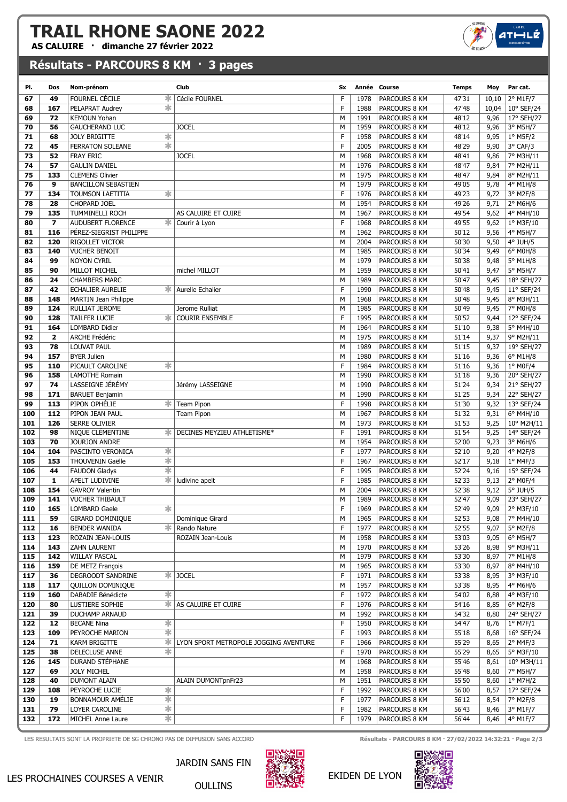AS CALUIRE · dimanche 27 février 2022

## Résultats - PARCOURS 8 KM · 3 pages

| PI. | Dos                     | Nom-prénom                              |                   | Club                                   | Sx | Année Course |                      | <b>Temps</b>                  | Moy          | Par cat.             |
|-----|-------------------------|-----------------------------------------|-------------------|----------------------------------------|----|--------------|----------------------|-------------------------------|--------------|----------------------|
| 67  | 49                      | FOURNEL CÉCILE                          | $\ast$            | Cécile FOURNEL                         | F  | 1978         | PARCOURS 8 KM        | 47'31                         | 10,10        | 2° M1F/7             |
| 68  | 167                     | PELAPRAT Audrey                         | ∗                 |                                        | F  | 1988         | PARCOURS 8 KM        | 47'48                         | 10,04        | 10° SEF/24           |
| 69  | 72                      | <b>KEMOUN Yohan</b>                     |                   |                                        | M  | 1991         | PARCOURS 8 KM        | 48'12                         | 9,96         | 17° SEH/27           |
| 70  | 56                      | <b>GAUCHERAND LUC</b>                   |                   | <b>JOCEL</b>                           | M  | 1959         | PARCOURS 8 KM        | 48'12                         | 9,96         | 3° M5H/7             |
| 71  | 68                      | <b>JOLY BRIGITTE</b>                    | ∗                 |                                        | F  | 1958         | PARCOURS 8 KM        | 48'14                         | 9,95         | $1°$ M5F/2           |
| 72  | 45                      | <b>FERRATON SOLEANE</b>                 | $\ast$            |                                        | F  | 2005         | PARCOURS 8 KM        | 48'29                         | 9,90         | 3° CAF/3             |
| 73  | 52                      | <b>FRAY ERIC</b>                        |                   | <b>JOCEL</b>                           | M  | 1968         | PARCOURS 8 KM        | 48'41                         | 9,86         | 7° M3H/11            |
| 74  | 57                      | <b>GAULIN DANIEL</b>                    |                   |                                        | M  | 1976         | PARCOURS 8 KM        | 48'47                         | 9,84         | 7° M2H/11            |
| 75  | 133                     | <b>CLEMENS Olivier</b>                  |                   |                                        | M  | 1975         | PARCOURS 8 KM        | 48'47                         | 9,84         | 8° M2H/11            |
| 76  | 9                       | <b>BANCILLON SEBASTIEN</b>              |                   |                                        | M  | 1979         | PARCOURS 8 KM        | 49'05                         | 9,78         | 4° M1H/8             |
| 77  | 134                     | TOUMSON LAETITIA                        | ∗                 |                                        | F  | 1976         | PARCOURS 8 KM        | 49'23                         | 9,72         | 3° M2F/8             |
| 78  | 28                      | CHOPARD JOEL                            |                   |                                        | M  | 1954         | PARCOURS 8 KM        | 49'26                         | 9,71         | 2° M6H/6             |
| 79  | 135                     | TUMMINELLI ROCH                         |                   | AS CALUIRE ET CUIRE                    | M  | 1967         | PARCOURS 8 KM        | 49'54                         | 9,62         | 4° M4H/10            |
| 80  | $\overline{\mathbf{z}}$ | AUDUBERT FLORENCE                       | *∣                | Courir à Lyon                          | F  | 1968         | PARCOURS 8 KM        | 49'55                         | 9,62         | 1° M3F/10            |
|     | 116                     | PEREZ-SIEGRIST PHILIPPE                 |                   |                                        | M  | 1962         |                      |                               |              |                      |
| 81  |                         |                                         |                   |                                        | M  |              | PARCOURS 8 KM        | 50'12                         | 9,56<br>9,50 | 4° M5H/7<br>4° JUH/5 |
| 82  | 120                     | RIGOLLET VICTOR<br><b>VUCHER BENOIT</b> |                   |                                        |    | 2004         | PARCOURS 8 KM        | 50'30                         |              |                      |
| 83  | 140                     |                                         |                   |                                        | M  | 1985         | PARCOURS 8 KM        | 50'34                         | 9,49         | 6° M0H/8             |
| 84  | 99                      | <b>NOYON CYRIL</b>                      |                   |                                        | M  | 1979         | PARCOURS 8 KM        | 50'38                         | 9,48         | 5° M1H/8             |
| 85  | 90                      | MILLOT MICHEL                           |                   | michel MILLOT                          | M  | 1959         | PARCOURS 8 KM        | 50'41                         | 9,47         | 5° M5H/7             |
| 86  | 24                      | <b>CHAMBERS MARC</b>                    |                   |                                        | M  | 1989         | PARCOURS 8 KM        | 50'47                         | 9,45         | 18° SEH/27           |
| 87  | 42                      | <b>ECHALIER AURELIE</b>                 | ∗                 | Aurelie Echalier                       | F  | 1990         | PARCOURS 8 KM        | 50'48                         | 9,45         | 11° SEF/24           |
| 88  | 148                     | <b>MARTIN Jean Philippe</b>             |                   |                                        | M  | 1968         | PARCOURS 8 KM        | 50'48                         | 9,45         | 8° M3H/11            |
| 89  | 124                     | RULLIAT JEROME                          |                   | Jerome Rulliat                         | M  | 1985         | PARCOURS 8 KM        | 50'49                         | 9,45         | 7° M0H/8             |
| 90  | 128                     | TAILFER LUCIE                           | ж                 | <b>COURIR ENSEMBLE</b>                 | F  | 1995         | PARCOURS 8 KM        | 50'52                         | 9,44         | 12° SEF/24           |
| 91  | 164                     | <b>LOMBARD Didier</b>                   |                   |                                        | M  | 1964         | PARCOURS 8 KM        | 51'10                         | 9,38         | 5° M4H/10            |
| 92  | $\mathbf{2}$            | <b>ARCHE Frédéric</b>                   |                   |                                        | M  | 1975         | PARCOURS 8 KM        | 51'14                         | 9,37         | 9° M2H/11            |
| 93  | 78                      | <b>LOUVAT PAUL</b>                      |                   |                                        | M  | 1989         | PARCOURS 8 KM        | 51'15                         | 9,37         | 19° SEH/27           |
| 94  | 157                     | <b>BYER Julien</b>                      |                   |                                        | M  | 1980         | PARCOURS 8 KM        | 51'16                         | 9,36         | 6° M1H/8             |
| 95  | 110                     | PICAULT CAROLINE                        | ∗                 |                                        | F  | 1984         | PARCOURS 8 KM        | 51'16                         | 9,36         | $1°$ MOF/4           |
| 96  | 158                     | <b>LAMOTHE Romain</b>                   |                   |                                        | M  | 1990         | PARCOURS 8 KM        | 51'18                         | 9,36         | 20° SEH/27           |
| 97  | 74                      | LASSEIGNE JÉRÉMY                        |                   | Jérémy LASSEIGNE                       | M  | 1990         | PARCOURS 8 KM        | 51'24                         | 9,34         | 21° SEH/27           |
| 98  | 171                     | <b>BARUET Benjamin</b>                  |                   |                                        | M  | 1990         | PARCOURS 8 KM        | $\overline{51}$ <sup>25</sup> | 9,34         | 22° SEH/27           |
| 99  | 113                     | PIPON OPHÉLIE                           | ∗                 | Team Pipon                             | F  | 1998         | PARCOURS 8 KM        | 51'30                         | 9,32         | 13° SEF/24           |
| 100 | 112                     | PIPON JEAN PAUL                         |                   | <b>Team Pipon</b>                      | M  | 1967         | PARCOURS 8 KM        | 51'32                         | 9,31         | 6° M4H/10            |
| 101 | 126                     | <b>SERRE OLIVIER</b>                    |                   |                                        | M  | 1973         | PARCOURS 8 KM        | 51'53                         | 9,25         | 10° M2H/11           |
| 102 | 98                      | NIQUE CLÉMENTINE                        | ∗                 | DECINES MEYZIEU ATHLETISME*            | F  | 1991         | PARCOURS 8 KM        | 51'54                         | 9,25         | 14° SEF/24           |
| 103 | 70                      | <b>JOURJON ANDRE</b>                    |                   |                                        | M  | 1954         | PARCOURS 8 KM        | 52'00                         | 9,23         | 3° M6H/6             |
| 104 | 104                     | PASCINTO VERONICA                       | ∗                 |                                        | F  | 1977         | PARCOURS 8 KM        | 52'10                         | 9,20         | 4° M2F/8             |
| 105 | 153                     | THOUVENIN Gaëlle                        | $\ast$            |                                        | F  | 1967         | PARCOURS 8 KM        | 52'17                         | 9,18         | 1° M4F/3             |
| 106 | 44                      | <b>FAUDON Gladys</b>                    | $\ast$            |                                        | F  | 1995         | PARCOURS 8 KM        | 52'24                         | 9,16         | 15° SEF/24           |
| 107 | 1                       | APELT LUDIVINE                          | $\ast$ :          | ludivine apelt                         | F  | 1985         | PARCOURS 8 KM        | 52'33                         | 9,13         | 2° M0F/4             |
| 108 | 154                     | <b>GAVROY Valentin</b>                  |                   |                                        | M  | 2004         | PARCOURS 8 KM        | 52'38                         | 9,12         | $5^\circ$ JUH/5      |
| 109 | 141                     | <b>VUCHER THIBAULT</b>                  |                   |                                        | M  | 1989         | PARCOURS 8 KM        | 52'47                         | 9,09         | 23° SEH/27           |
| 110 | 165                     | <b>LOMBARD Gaele</b>                    | $\ast$            |                                        | F  | 1969         | PARCOURS 8 KM        | 52'49                         | 9,09         | 2° M3F/10            |
| 111 | 59                      | GIRARD DOMINIQUE                        |                   | Dominique Girard                       | М  | 1965         | <b>PARCOURS 8 KM</b> | 52'53                         | 9,08         | 7° M4H/10            |
| 112 | 16                      | BENDER WANIDA                           | ∗.                | Rando Nature                           | F  | 1977         | PARCOURS 8 KM        | 52'55                         | 9,07         | 5° M2F/8             |
| 113 | 123                     | ROZAIN JEAN-LOUIS                       |                   | ROZAIN Jean-Louis                      | м  | 1958         | PARCOURS 8 KM        | 53'03                         | 9,05         | 6° M5H/7             |
| 114 | 143                     | ZAHN LAURENT                            |                   |                                        | М  | 1970         | PARCOURS 8 KM        | 53'26                         | 8,98         | 9° M3H/11            |
| 115 | 142                     | WILLAY PASCAL                           |                   |                                        | М  | 1979         | PARCOURS 8 KM        | 53'30                         | 8,97         | 7° M1H/8             |
| 116 | 159                     | DE METZ François                        |                   |                                        | м  | 1965         | PARCOURS 8 KM        | 53'30                         | 8,97         | 8° M4H/10            |
| 117 | 36                      | DEGROODT SANDRINE                       |                   | <b>*IJOCEL</b>                         | F  | 1971         | PARCOURS 8 KM        | 53'38                         | 8,95         | 3° M3F/10            |
| 118 | 117                     | QUILLON DOMINIQUE                       |                   |                                        | М  | 1957         | PARCOURS 8 KM        | 53'38                         | 8,95         | 4° M6H/6             |
| 119 | 160                     | DABADIE Bénédicte                       | ∗                 |                                        | F  | 1972         | PARCOURS 8 KM        | 54'02                         | 8,88         | 4° M3F/10            |
| 120 | 80                      | LUSTIERE SOPHIE                         |                   | <b><del></del> AS CALUIRE ET CUIRE</b> | F  | 1976         | PARCOURS 8 KM        | 54'16                         | 8,85         | 6° M2F/8             |
| 121 | 39                      | DUCHAMP ARNAUD                          |                   |                                        | М  | 1992         | PARCOURS 8 KM        | 54'32                         | 8,80         | 24° SEH/27           |
| 122 | 12                      | <b>BECANE Nina</b>                      | ∗                 |                                        | F  | 1950         | PARCOURS 8 KM        | 54'47                         | 8,76         | $1^{\circ}$ M7F/1    |
| 123 | 109                     | PEYROCHE MARION                         | ☀                 |                                        | F  | 1993         | PARCOURS 8 KM        | 55'18                         | 8,68         | 16° SEF/24           |
| 124 | 71                      | KARM BRIGITTE                           | $\ast$            | LYON SPORT METROPOLE JOGGING AVENTURE  | F  | 1966         | PARCOURS 8 KM        | 55'29                         | 8,65         | $2^{\circ}$ M4F/3    |
| 125 | 38                      | DELECLUSE ANNE                          | ∗                 |                                        | F  | 1970         | PARCOURS 8 KM        | 55'29                         | 8,65         | 5° M3F/10            |
| 126 | 145                     | DURAND STÉPHANE                         |                   |                                        | М  | 1968         | PARCOURS 8 KM        | 55'46                         | 8,61         | $10^{\circ}$ M3H/11  |
| 127 | 69                      | <b>JOLY MICHEL</b>                      |                   |                                        | м  | 1958         | PARCOURS 8 KM        | 55'48                         | 8,60         | 7° M5H/7             |
| 128 | 40                      | DUMONT ALAIN                            |                   | ALAIN DUMONTpnFr23                     | M  | 1951         | PARCOURS 8 KM        | 55'50                         | 8,60         | $1^{\circ}$ M7H/2    |
| 129 | 108                     | PEYROCHE LUCIE                          | ∗                 |                                        | F  | 1992         | PARCOURS 8 KM        | 56'00                         | 8,57         | 17° SEF/24           |
| 130 | 19                      | <b>BONNAMOUR AMÉLIE</b>                 | $\overline{\ast}$ |                                        | F  | 1977         | PARCOURS 8 KM        | 56'12                         |              | 7° M2F/8             |
| 131 | 79                      | LOYER CAROLINE                          | ∗                 |                                        | F  | 1982         | PARCOURS 8 KM        | 56'43                         | 8,54<br>8,46 | 3° M1F/7             |
| 132 | 172                     | MICHEL Anne Laure                       | $\ast$            |                                        | F  | 1979         | PARCOURS 8 KM        | 56'44                         | 8,46         | 4° M1F/7             |
|     |                         |                                         |                   |                                        |    |              |                      |                               |              |                      |



OULLINS

LES RESULTATS SONT LA PROPRIETE DE SG CHRONO PAS DE DIFFUSION SANS ACCORD **Résultats - PARCOURS 8 KM · 27/02/2022 14:32:21 · Page 2/3** 

 $4T<sub>+</sub>$ 

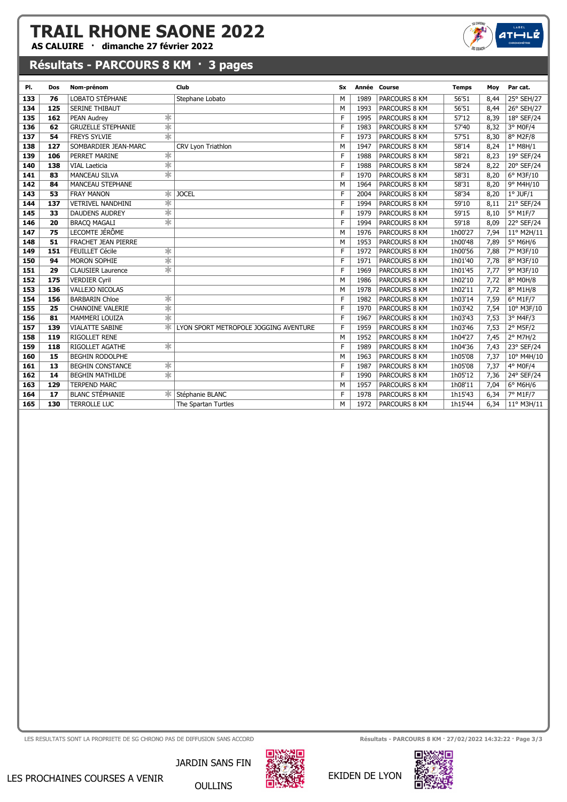AS CALUIRE · dimanche 27 février 2022

## Résultats - PARCOURS 8 KM · 3 pages

| PI. | Dos | Nom-prénom                                    | Club                                  | Sx          |      | Année Course  | <b>Temps</b> | Moy  | Par cat.            |
|-----|-----|-----------------------------------------------|---------------------------------------|-------------|------|---------------|--------------|------|---------------------|
| 133 | 76  | LOBATO STÉPHANE                               | Stephane Lobato                       | M           | 1989 | PARCOURS 8 KM | 56'51        | 8,44 | 25° SEH/27          |
| 134 | 125 | <b>SERINE THIBAUT</b>                         |                                       | M           | 1993 | PARCOURS 8 KM | 56'51        | 8,44 | 26° SEH/27          |
| 135 | 162 | $\ast$<br>PEAN Audrey                         |                                       | F           | 1995 | PARCOURS 8 KM | 57'12        | 8,39 | 18° SEF/24          |
| 136 | 62  | $\ast$<br><b>GRUZELLE STEPHANIE</b>           |                                       | F           | 1983 | PARCOURS 8 KM | 57'40        | 8,32 | 3° M0F/4            |
| 137 | 54  | $\ast$<br><b>FREYS SYLVIE</b>                 |                                       | F           | 1973 | PARCOURS 8 KM | 57'51        | 8,30 | 8° M2F/8            |
| 138 | 127 | SOMBARDIER JEAN-MARC                          | CRV Lyon Triathlon                    | M           | 1947 | PARCOURS 8 KM | 58'14        | 8,24 | $1°$ M8H/1          |
| 139 | 106 | $\ast$<br>PERRET MARINE                       |                                       | F           | 1988 | PARCOURS 8 KM | 58'21        | 8,23 | 19° SEF/24          |
| 140 | 138 | $\ast$<br><b>VIAL Laeticia</b>                |                                       | $\mathsf F$ | 1988 | PARCOURS 8 KM | 58'24        | 8,22 | 20° SEF/24          |
| 141 | 83  | $\overline{\ast}$<br><b>MANCEAU SILVA</b>     |                                       | F           | 1970 | PARCOURS 8 KM | 58'31        | 8,20 | 6° M3F/10           |
| 142 | 84  | <b>MANCEAU STEPHANE</b>                       |                                       | M           | 1964 | PARCOURS 8 KM | 58'31        | 8,20 | 9° M4H/10           |
| 143 | 53  | ж<br><b>FRAY MANON</b>                        | <b>JOCEL</b>                          | F           | 2004 | PARCOURS 8 KM | 58'34        | 8,20 | $1°$ JUF/ $1$       |
| 144 | 137 | ∗<br><b>VETRIVEL NANDHINI</b>                 |                                       | F           | 1994 | PARCOURS 8 KM | 59'10        | 8,11 | 21° SEF/24          |
| 145 | 33  | $\ast$<br><b>DAUDENS AUDREY</b>               |                                       | F           | 1979 | PARCOURS 8 KM | 59'15        | 8,10 | 5° M1F/7            |
| 146 | 20  | $\ast$<br><b>BRACO MAGALI</b>                 |                                       | F           | 1994 | PARCOURS 8 KM | 59'18        | 8,09 | 22° SEF/24          |
| 147 | 75  | LECOMTE JÉRÔME                                |                                       | M           | 1976 | PARCOURS 8 KM | 1h00'27      | 7,94 | 11° M2H/11          |
| 148 | 51  | <b>FRACHET JEAN PIERRE</b>                    |                                       | M           | 1953 | PARCOURS 8 KM | 1h00'48      | 7,89 | 5° M6H/6            |
| 149 | 151 | $\ast$<br>FEUILLET Cécile                     |                                       | F           | 1972 | PARCOURS 8 KM | 1h00'56      | 7,88 | 7° M3F/10           |
| 150 | 94  | $\overline{\ast}$<br>MORON SOPHIE             |                                       | F           | 1971 | PARCOURS 8 KM | 1h01'40      | 7,78 | 8° M3F/10           |
| 151 | 29  | $\overline{\ast}$<br><b>CLAUSIER Laurence</b> |                                       | F           | 1969 | PARCOURS 8 KM | 1h01'45      | 7,77 | 9° M3F/10           |
| 152 | 175 | <b>VERDIER Cyril</b>                          |                                       | M           | 1986 | PARCOURS 8 KM | 1h02'10      | 7,72 | 8° M0H/8            |
| 153 | 136 | VALLEJO NICOLAS                               |                                       | M           | 1978 | PARCOURS 8 KM | 1h02'11      | 7,72 | 8° M1H/8            |
| 154 | 156 | $\ast$<br><b>BARBARIN Chloe</b>               |                                       | F           | 1982 | PARCOURS 8 KM | 1h03'14      | 7,59 | 6° M1F/7            |
| 155 | 25  | $\ast$<br><b>CHANOINE VALERIE</b>             |                                       | F           | 1970 | PARCOURS 8 KM | 1h03'42      | 7,54 | 10° M3F/10          |
| 156 | 81  | $\ast$<br>MAMMERI LOUIZA                      |                                       | F           | 1967 | PARCOURS 8 KM | 1h03'43      | 7,53 | 3° M4F/3            |
| 157 | 139 | <b>VIALATTE SABINE</b>                        | LYON SPORT METROPOLE JOGGING AVENTURE | F           | 1959 | PARCOURS 8 KM | 1h03'46      | 7,53 | $2°$ M5F/2          |
| 158 | 119 | RIGOLLET RENE                                 |                                       | M           | 1952 | PARCOURS 8 KM | 1h04'27      | 7,45 | 2° M7H/2            |
| 159 | 118 | $\ast$<br>RIGOLLET AGATHE                     |                                       | $\mathsf F$ | 1989 | PARCOURS 8 KM | 1h04'36      | 7,43 | 23° SEF/24          |
| 160 | 15  | <b>BEGHIN RODOLPHE</b>                        |                                       | M           | 1963 | PARCOURS 8 KM | 1h05'08      | 7,37 | 10° M4H/10          |
| 161 | 13  | $\ast$<br><b>BEGHIN CONSTANCE</b>             |                                       | F           | 1987 | PARCOURS 8 KM | 1h05'08      | 7,37 | 4° M0F/4            |
| 162 | 14  | ☀<br><b>BEGHIN MATHILDE</b>                   |                                       | F           | 1990 | PARCOURS 8 KM | 1h05'12      | 7,36 | 24° SEF/24          |
| 163 | 129 | <b>TERPEND MARC</b>                           |                                       | M           | 1957 | PARCOURS 8 KM | 1h08'11      | 7,04 | 6° M6H/6            |
| 164 | 17  | <b>BLANC STÉPHANIE</b><br>ж                   | Stéphanie BLANC                       | F           | 1978 | PARCOURS 8 KM | 1h15'43      | 6,34 | 7° M1F/7            |
| 165 | 130 | <b>TERROLLE LUC</b>                           | The Spartan Turtles                   | M           | 1972 | PARCOURS 8 KM | 1h15'44      | 6,34 | $11^{\circ}$ M3H/11 |

LES RESULTATS SONT LA PROPRIETE DE SG CHRONO PAS DE DIFFUSION SANS ACCORD **Résultats - PARCOURS 8 KM · 27/02/2022 14:32:22 · Page 3/3** 



 $ATHIL$ 



LES PROCHAINES COURSES A VENIR

JARDIN SANS FIN OULLINS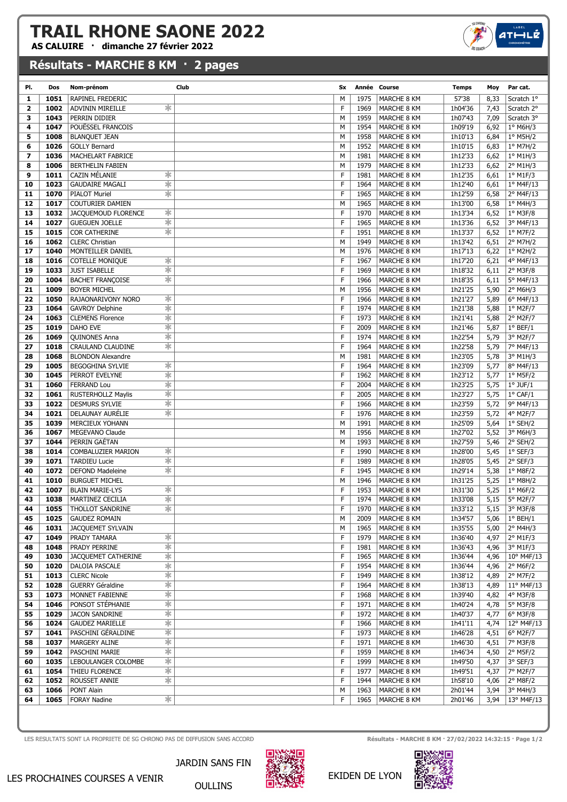AS CALUIRE · dimanche 27 février 2022

#### Résultats - MARCHE 8 KM · 2 pages

| PI.            | Dos          | Nom-prénom                  | Club                    | Sx     |              | Année Course               | <b>Temps</b>       | Moy          | Par cat.                  |
|----------------|--------------|-----------------------------|-------------------------|--------|--------------|----------------------------|--------------------|--------------|---------------------------|
| 1.             | 1051         | RAPINEL FREDERIC            |                         | M      | 1975         | MARCHE 8 KM                | 57'38              | 8,33         | Scratch 1°                |
| $\overline{2}$ | 1002         | ADVININ MIREILLE            | 氺                       | F      | 1969         | MARCHE 8 KM                | 1h04'36            | 7,43         | Scratch 2°                |
| з              | 1043         | PERRIN DIDIER               |                         | M      | 1959         | MARCHE 8 KM                | 1h07'43            | 7,09         | Scratch 3°                |
| 4              | 1047         | POUËSSEL FRANCOIS           |                         | M      | 1954         | MARCHE 8 KM                | 1h09'19            | 6,92         | 1° M6H/3                  |
| 5              | 1008         | <b>BLANQUET JEAN</b>        |                         | М      | 1958         | MARCHE 8 KM                | 1h10'13            | 6,84         | 1° M5H/2                  |
| 6              | 1026         | <b>GOLLY Bernard</b>        |                         | M      | 1952         | MARCHE 8 KM                | 1h10'15            | 6,83         | 1° M7H/2                  |
| 7              | 1036         | MACHELART FABRICE           |                         | M      | 1981         | MARCHE 8 KM                | 1h12'33            | 6,62         | $1°$ M1H/3                |
| 8              | 1006         | <b>BERTHELIN FABIEN</b>     |                         | M      | 1979         | MARCHE 8 KM                | 1h12'33            | 6,62         | 2° M1H/3                  |
| 9              | 1011         | <b>CAZIN MÉLANIE</b>        | ∗                       | F      | 1981         | MARCHE 8 KM                | 1h12'35            | 6,61         | 1° M1F/3                  |
| 10             | 1023         | <b>GAUDAIRE MAGALI</b>      | ∗                       | F      | 1964         | MARCHE 8 KM                | 1h12'40            | 6,61         | 1º M4F/13                 |
| 11             | 1070         | <b>PIALOT Muriel</b>        | $\ast$                  | F      | 1965         | MARCHE 8 KM                | 1h12'59            | 6,58         | 2° M4F/13                 |
| 12             | 1017         | <b>COUTURIER DAMIEN</b>     |                         | M      | 1965         | MARCHE 8 KM                | 1h13'00            | 6,58         | $1°$ M4H/3                |
| 13             | 1032         | JACQUEMOUD FLORENCE         | ∗                       | F      | 1970         | MARCHE 8 KM                | 1h13'34            | 6,52         | $1°$ M3F/8                |
| 14             | 1027         | <b>GUEGUEN JOELLE</b>       | $\ast$                  | F      | 1965         | MARCHE 8 KM                | 1h13'36            | 6,52         | 3° M4F/13                 |
| 15             | 1015         | COR CATHERINE               | $\ast$                  | F      | 1951         | MARCHE 8 KM                | 1h13'37            | 6,52         | 1° M7F/2                  |
| 16             | 1062         | <b>CLERC Christian</b>      |                         | M      | 1949         | MARCHE 8 KM                | 1h13'42            | 6,51         | 2° M7H/2                  |
| 17             | 1040         | MONTEILLER DANIEL           |                         | М      | 1976         | MARCHE 8 KM                | 1h17'13            | 6,22         | 1° M2H/2                  |
| 18             | 1016         | <b>COTELLE MONIQUE</b>      | ∗                       | F      | 1967         | MARCHE 8 KM                | 1h17'20            | 6,21         | 4° M4F/13                 |
| 19             | 1033         | <b>JUST ISABELLE</b>        | $\ast$                  | F      | 1969         | MARCHE 8 KM                | 1h18'32            | 6,11         | $2°$ M3F/8                |
| 20             | 1004         | <b>BACHET FRANÇOISE</b>     | $\ast$                  | F      | 1966         | MARCHE 8 KM                | 1h18'35            | 6,11         | 5° M4F/13                 |
| 21             | 1009         | <b>BOYER MICHEL</b>         |                         | M      | 1956         | MARCHE 8 KM                | 1h21'25            | 5,90         | 2° M6H/3                  |
| 22             | 1050         | RAJAONARIVONY NORO          | ∗                       | F      | 1966         | MARCHE 8 KM                | 1h21'27            | 5,89         | 6° M4F/13                 |
| 23             | 1064         | <b>GAVROY Delphine</b>      | $\ast$                  | F<br>F | 1974         | MARCHE 8 KM                | 1h21'38            | 5,88         | $1°$ M2F/7                |
| 24             | 1063         | <b>CLEMENS Florence</b>     | $\ast$                  | F      | 1973         | MARCHE 8 KM                | 1h21'41            | 5,88         | 2° M2F/7<br>$1°$ BEF/ $1$ |
| 25<br>26       | 1019<br>1069 | DAHO EVE<br>QUINONES Anna   | $\ast$<br>$\ast$        | F      | 2009<br>1974 | MARCHE 8 KM<br>MARCHE 8 KM | 1h21'46<br>1h22'54 | 5,87<br>5,79 | 3° M2F/7                  |
| 27             | 1018         | CRAULAND CLAUDINE           | ∗                       | F      | 1964         | MARCHE 8 KM                | 1h22'58            | 5,79         | 7° M4F/13                 |
| 28             | 1068         | <b>BLONDON Alexandre</b>    |                         | M      | 1981         | MARCHE 8 KM                | 1h23'05            | 5,78         | 3° M1H/3                  |
| 29             | 1005         | <b>BEGOGHINA SYLVIE</b>     | ∗                       | F      | 1964         | MARCHE 8 KM                | 1h23'09            | 5,77         | 8° M4F/13                 |
| 30             | 1045         | PERROT EVELYNE              | ∗                       | F      | 1962         | MARCHE 8 KM                | 1h23'12            | 5,77         | $1°$ M5F/2                |
| 31             | 1060         | <b>FERRAND Lou</b>          | $\ast$                  | F      | 2004         | MARCHE 8 KM                | 1h23'25            | 5,75         | $1°$ JUF/ $1$             |
| 32             | 1061         | <b>RUSTERHOLLZ Maylis</b>   | $\ast$                  | F      | 2005         | MARCHE 8 KM                | 1h23'27            | 5,75         | $1^{\circ}$ CAF/1         |
| 33             | 1022         | <b>DESMURS SYLVIE</b>       | ∗                       | F      | 1966         | MARCHE 8 KM                | 1h23'59            | 5,72         | 9° M4F/13                 |
| 34             | 1021         | DELAUNAY AURELIE            | $\ast$                  | F      | 1976         | MARCHE 8 KM                | 1h23'59            | 5,72         | 4° M2F/7                  |
| 35             | 1039         | MERCIEUX YOHANN             |                         | M      | 1991         | MARCHE 8 KM                | 1h25'09            | 5,64         | $1°$ SEH/2                |
| 36             | 1067         | MEGEVANO Claude             |                         | M      | 1956         | MARCHE 8 KM                | 1h27'02            | 5,52         | 3° M6H/3                  |
| 37             | 1044         | PERRIN GAÉTAN               |                         | M      | 1993         | MARCHE 8 KM                | 1h27'59            | 5,46         | $2°$ SEH/2                |
| 38             | 1014         | COMBALUZIER MARION          | ☀                       | F      | 1990         | MARCHE 8 KM                | 1h28'00            | 5,45         | $1°$ SEF/3                |
| 39             | 1071         | <b>TARDIEU Lucie</b>        | ∗                       | F      | 1989         | MARCHE 8 KM                | 1h28'05            | 5,45         | $2°$ SEF/3                |
| 40             | 1072         | <b>DEFOND Madeleine</b>     | ∗                       | F      | 1945         | <b>MARCHE 8 KM</b>         | 1h29'14            | 5,38         | 1° M8F/2                  |
| 41             | 1010         | <b>BURGUET MICHEL</b>       |                         | M      | 1946         | MARCHE 8 KM                | 1h31'25            | 5,25         | 1° M8H/2                  |
| 42             | 1007         | <b>BLAIN MARIE-LYS</b>      | ∗                       | F      | 1953         | MARCHE 8 KM                | 1h31'30            | 5,25         | 1° M6F/2                  |
| 43             | 1038         | MARTINEZ CECILIA            | $\ast$                  | F      | 1974         | MARCHE 8 KM                | 1h33'08            | 5,15         | 5° M2F/7                  |
| 44             | 1055         | THOLLOT SANDRINE            | $\,{}^*$                | F      | 1970         | MARCHE 8 KM                | 1h33'12            | 5,15         | $\sqrt{3}$ ° M3F/8        |
| 45             | 1025         | <b>GAUDEZ ROMAIN</b>        |                         | м      | 2009         | MARCHE 8 KM                | 1h34'57            | 5,06         | $1^{\circ}$ BEH/1         |
| 46             | 1031         | JACQUEMET SYLVAIN           |                         | м      | 1965         | MARCHE 8 KM                | 1h35'55            | 5,00         | 2° M4H/3                  |
| 47             | 1049         | PRADY TAMARA                | $\ast$                  | F      | 1979         | MARCHE 8 KM                | 1h36'40            | 4,97         | 2° M1F/3                  |
| 48             | 1048         | PRADY PERRINE               | $\ast$                  | F      | 1981         | MARCHE 8 KM                | 1h36'43            | 4,96         | 3° M1F/3                  |
| 49             | 1030         | JACQUEMET CATHERINE         | ∗                       | F      | 1965         | MARCHE 8 KM                | 1h36'44            | 4,96         | 10° M4F/13                |
| 50             | 1020         | DALOIA PASCALE              | $\ast$                  | F      | 1954         | MARCHE 8 KM                | 1h36'44            | 4,96         | $2^{\circ}$ M6F/2         |
| 51             | 1013         | <b>CLERC Nicole</b>         | $\ast$                  | F      | 1949         | MARCHE 8 KM                | 1h38'12            | 4,89         | 2° M7F/2                  |
| 52             | 1028         | GUERRY Géraldine            | ∗                       | F      | 1964         | MARCHE 8 KM                | 1h38'13            | 4,89         | $11^{\circ}$ M4F/13       |
| 53             | 1073         | MONNET FABIENNE             | $\ast$                  | F      | 1968         | MARCHE 8 KM                | 1h39'40            | 4,82         | 4° M3F/8                  |
| 54             | 1046         | PONSOT STÉPHANIE            | $\ast$                  | F      | 1971         | MARCHE 8 KM                | 1h40'24            | 4,78         | 5° M3F/8                  |
| 55             | 1029         | JACON SANDRINE              | ∗                       | F      | 1972         | MARCHE 8 KM                | 1h40'37            | 4,77         | $6°$ M3F/8                |
| 56             | 1024         | <b>GAUDEZ MARIELLE</b>      | $\ast$                  | F      | 1966         | MARCHE 8 KM                | 1h41'11            | 4,74         | 12° M4F/13                |
| 57             | 1041         | PASCHINI GÉRALDINE          | $\ast$                  | F      | 1973         | MARCHE 8 KM                | 1h46'28            | 4,51         | $6^{\circ}$ M2F/7         |
| 58             | 1037         | MARGERY ALINE               | ∗                       | F      | 1971         | MARCHE 8 KM                | 1h46'30            | 4,51         | 7° M3F/8                  |
| 59             | 1042         | PASCHINI MARIE              | $\overline{\ast}$       | F      | 1959         | MARCHE 8 KM                | 1h46'34            | 4,50         | 2° M5F/2                  |
| 60             | 1035         | LEBOULANGER COLOMBE         | $\ast$                  | F      | 1999         | MARCHE 8 KM                | 1h49'50            | 4,37         | 3° SEF/3                  |
| 61             | 1054         | THIEU FLORENCE              | $\ast$<br>$\frac{1}{2}$ | F      | 1977         | MARCHE 8 KM                | 1h49'51            | 4,37         | 7° M2F/7                  |
| 62             | 1052<br>1066 | ROUSSET ANNIE<br>PONT Alain |                         | F<br>М | 1944<br>1963 | MARCHE 8 KM                | 1h58'10<br>2h01'44 | 4,06         | $2°$ M8F/2<br>3° M4H/3    |
| 63<br>64       | 1065         | <b>FORAY Nadine</b>         | ∗                       | F      | 1965         | MARCHE 8 KM<br>MARCHE 8 KM | 2h01'46            | 3,94<br>3,94 | 13° M4F/13                |
|                |              |                             |                         |        |              |                            |                    |              |                           |
|                |              |                             |                         |        |              |                            |                    |              |                           |



 $AT \mapsto L\tilde{B}$